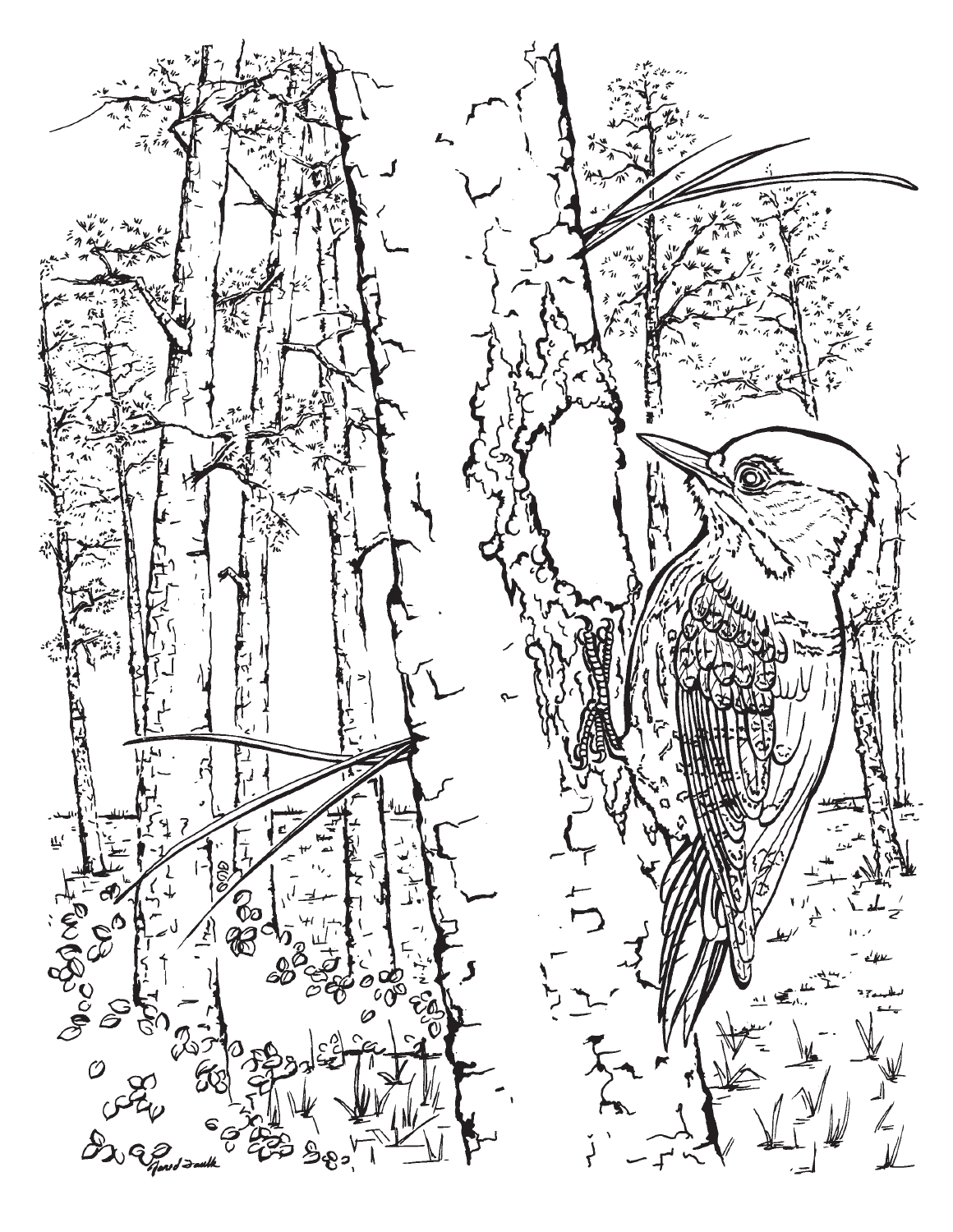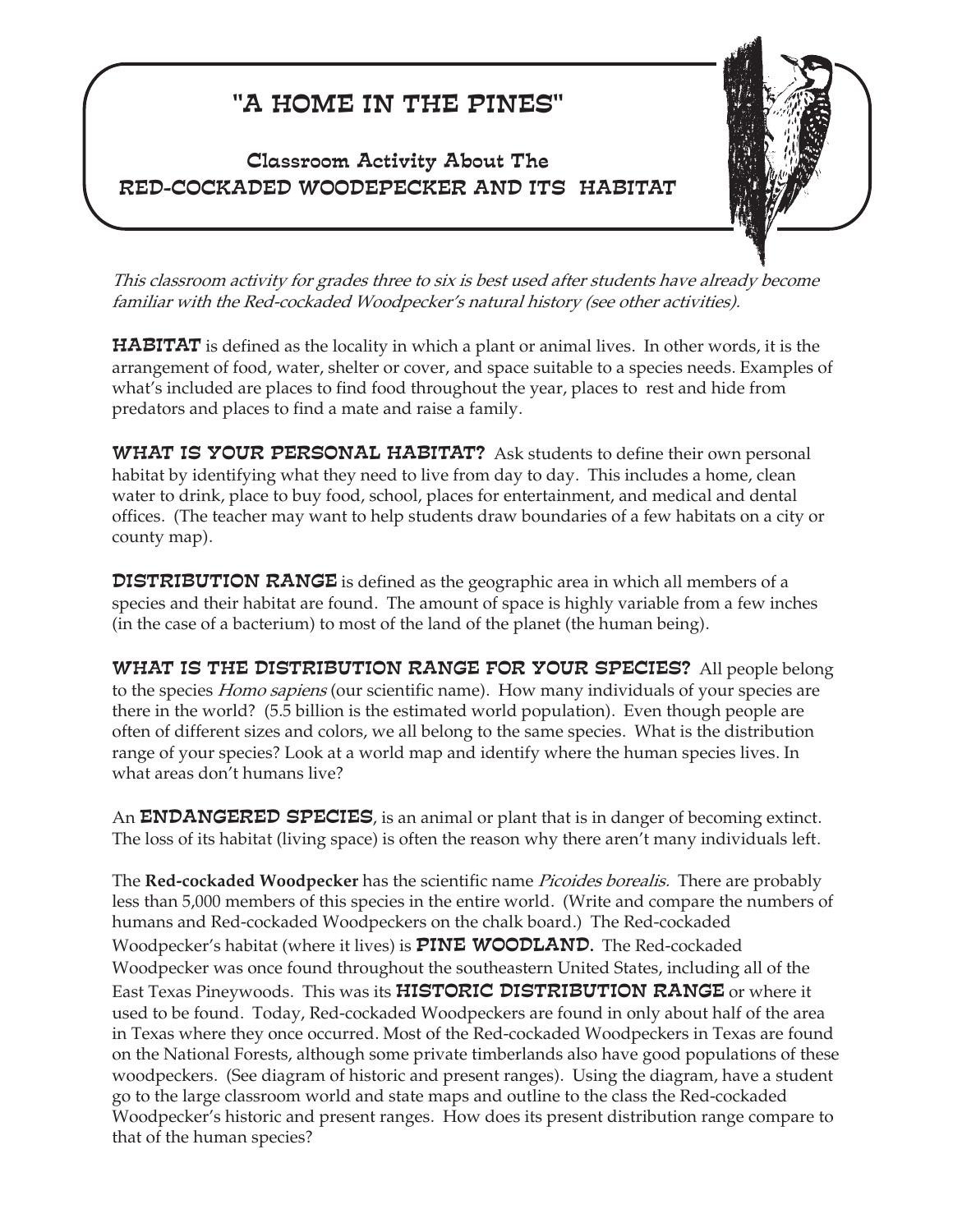## "A HOME IN THE PINES"

### Classroom Activity About The RED-COCKADED WOODEPECKER AND ITS HABITAT



*This classroom activity for grades three to six is best used after students have already become familiar with the Red-cockaded Woodpecker's natural history (see other activities).*

 ${\tt HABITAT}$  is defined as the locality in which a plant or animal lives. In other words, it is the arrangement of food, water, shelter or cover, and space suitable to a species needs. Examples of what's included are places to find food throughout the year, places to rest and hide from predators and places to find a mate and raise a family.

WHAT IS YOUR PERSONAL HABITAT? Ask students to define their own personal habitat by identifying what they need to live from day to day. This includes a home, clean water to drink, place to buy food, school, places for entertainment, and medical and dental offices. (The teacher may want to help students draw boundaries of a few habitats on a city or county map).

DISTRIBUTION RANGE is defined as the geographic area in which all members of a species and their habitat are found. The amount of space is highly variable from a few inches (in the case of a bacterium) to most of the land of the planet (the human being).

to the species *Homo sapiens* (our scientific name). How many individuals of your species are WHAT IS THE DISTRIBUTION RANGE FOR YOUR SPECIES? All people belong there in the world? (5.5 billion is the estimated world population). Even though people are often of different sizes and colors, we all belong to the same species. What is the distribution range of your species? Look at a world map and identify where the human species lives. In what areas don't humans live?

An **ENDANGERED SPECIES**, is an animal or plant that is in danger of becoming extinct. The loss of its habitat (living space) is often the reason why there aren't many individuals left.

The **Red-cockaded Woodpecker** has the scientific name *Picoides borealis.* There are probably Woodpecker's habitat (where it lives) is **PINE WOODLAND**. The Red-cockaded East Texas Pineywoods. This was its **HISTORIC DISTRIBUTION RANGE** or where it less than 5,000 members of this species in the entire world. (Write and compare the numbers of humans and Red-cockaded Woodpeckers on the chalk board.) The Red-cockaded Woodpecker was once found throughout the southeastern United States, including all of the used to be found. Today, Red-cockaded Woodpeckers are found in only about half of the area in Texas where they once occurred. Most of the Red-cockaded Woodpeckers in Texas are found on the National Forests, although some private timberlands also have good populations of these woodpeckers. (See diagram of historic and present ranges). Using the diagram, have a student go to the large classroom world and state maps and outline to the class the Red-cockaded Woodpecker's historic and present ranges. How does its present distribution range compare to that of the human species?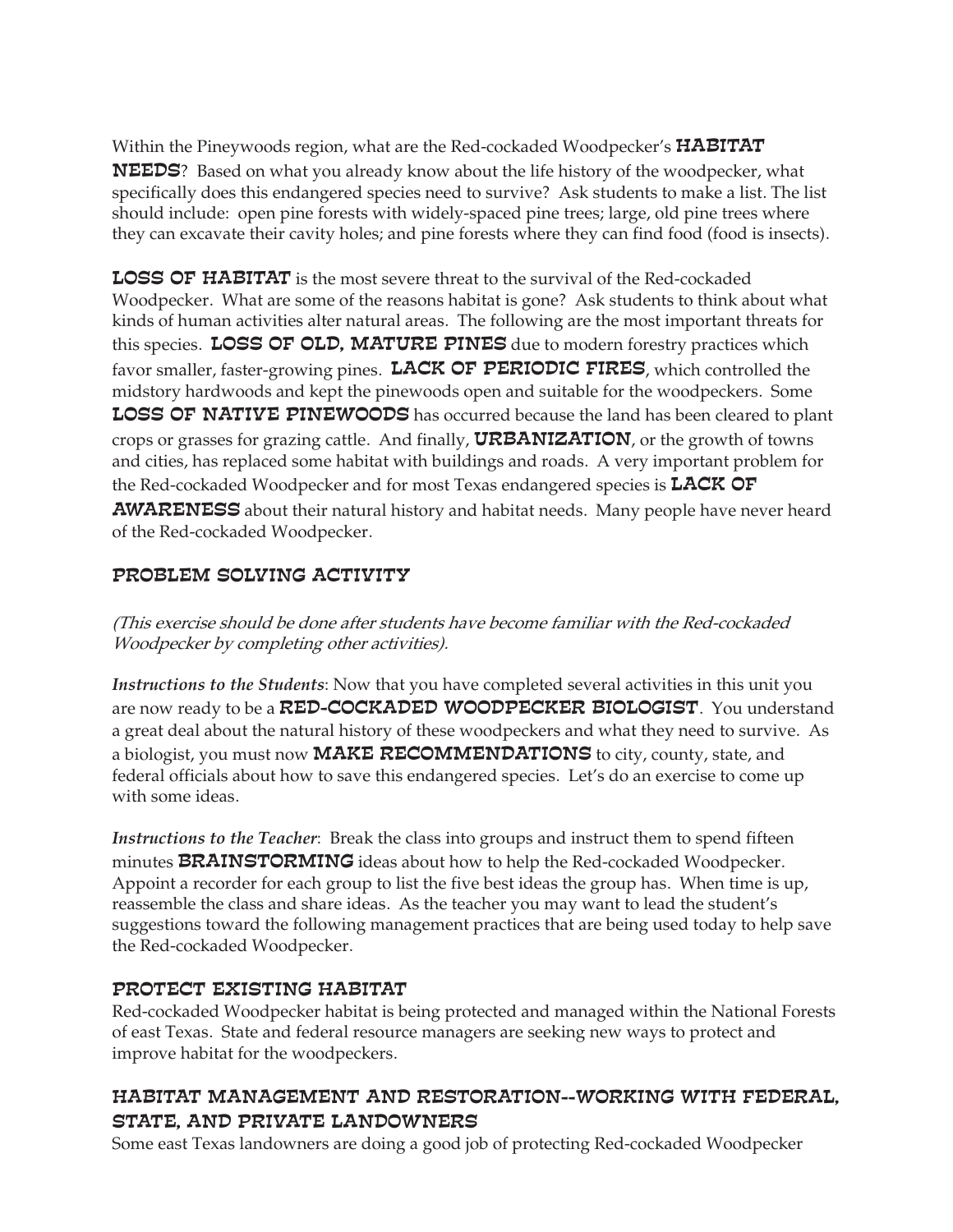Within the Pineywoods region, what are the Red-cockaded Woodpecker's **HABITAT NEEDS**? Based on what you already know about the life history of the woodpecker, what specifically does this endangered species need to survive? Ask students to make a list. The list should include: open pine forests with widely-spaced pine trees; large, old pine trees where they can excavate their cavity holes; and pine forests where they can find food (food is insects).

**LOSS OF HABITAT** is the most severe threat to the survival of the Red-cockaded Woodpecker. What are some of the reasons habitat is gone? Ask students to think about what kinds of human activities alter natural areas. The following are the most important threats for this species. LOSS OF OLD, MATURE PINES due to modern forestry practices which favor smaller, faster-growing pines. LACK OF PERIODIC FIRES, which controlled the midstory hardwoods and kept the pinewoods open and suitable for the woodpeckers. Some LOSS OF NATIVE PINEWOODS has occurred because the land has been cleared to plant crops or grasses for grazing cattle. And finally,  $\mathtt{URBANIZATION}$ , or the growth of towns and cities, has replaced some habitat with buildings and roads. A very important problem for the Red-cockaded Woodpecker and for most Texas endangered species is  $\mathtt{LACK}\ \mathtt{OF}$ **AWARENESS** about their natural history and habitat needs. Many people have never heard of the Red-cockaded Woodpecker.

#### PROBLEM SOLVING ACTIVITY

*(This exercise should be done after students have become familiar with the Red-cockaded Woodpecker by completing other activities).*

Instructions to the Students: Now that you have completed several activities in this unit you are now ready to be a RED-COCKADED WOODPECKER BIOLOGIST. You understand a great deal about the natural history of these woodpeckers and what they need to survive. As a biologist, you must now  $\mathbf{MAKE}\ \mathbf{RECOMMENDATIONS}$  to city, county, state, and federal officials about how to save this endangered species. Let's do an exercise to come up with some ideas.

*Instructions to the Teacher*: Break the class into groups and instruct them to spend fifteen minutes  $\mathtt{BRAINSTORMING}$  ideas about how to help the Red-cockaded Woodpecker. Appoint a recorder for each group to list the five best ideas the group has. When time is up, reassemble the class and share ideas. As the teacher you may want to lead the student's suggestions toward the following management practices that are being used today to help save the Red-cockaded Woodpecker.

#### PROTECT EXISTING HABITAT

Red-cockaded Woodpecker habitat is being protected and managed within the National Forests of east Texas. State and federal resource managers are seeking new ways to protect and improve habitat for the woodpeckers.

#### HABITAT MANAGEMENT AND RESTORATION--WORKING WITH FEDERAL, STATE, AND PRIVATE LANDOWNERS

Some east Texas landowners are doing a good job of protecting Red-cockaded Woodpecker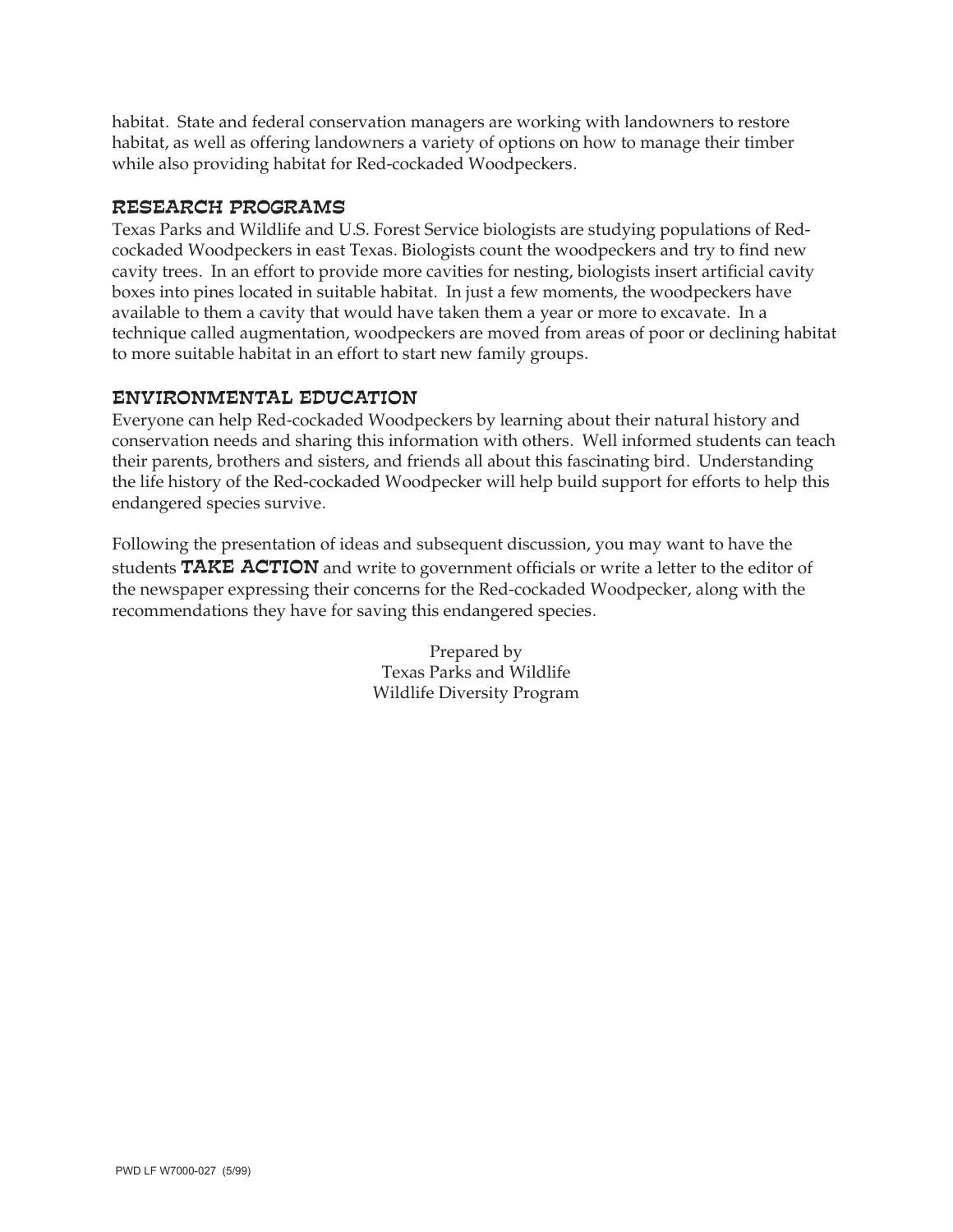habitat. State and federal conservation managers are working with landowners to restore habitat, as well as offering landowners a variety of options on how to manage their timber while also providing habitat for Red-cockaded Woodpeckers.

#### RESEARCH PROGRAMS

Texas Parks and Wildlife and U.S. Forest Service biologists are studying populations of Redcockaded Woodpeckers in east Texas. Biologists count the woodpeckers and try to find new cavity trees. In an effort to provide more cavities for nesting, biologists insert artificial cavity boxes into pines located in suitable habitat. In just a few moments, the woodpeckers have available to them a cavity that would have taken them a year or more to excavate. In a technique called augmentation, woodpeckers are moved from areas of poor or declining habitat to more suitable habitat in an effort to start new family groups.

#### ENVIRONMENTAL EDUCATION

Everyone can help Red-cockaded Woodpeckers by learning about their natural history and conservation needs and sharing this information with others. Well informed students can teach their parents, brothers and sisters, and friends all about this fascinating bird. Understanding the life history of the Red-cockaded Woodpecker will help build support for efforts to help this endangered species survive.

Following the presentation of ideas and subsequent discussion, you may want to have the students  $\mathtt{TAKE}$   $\mathtt{ACTION}$  and write to government officials or write a letter to the editor of the newspaper expressing their concerns for the Red-cockaded Woodpecker, along with the recommendations they have for saving this endangered species.

> Prepared by Texas Parks and Wildlife Wildlife Diversity Program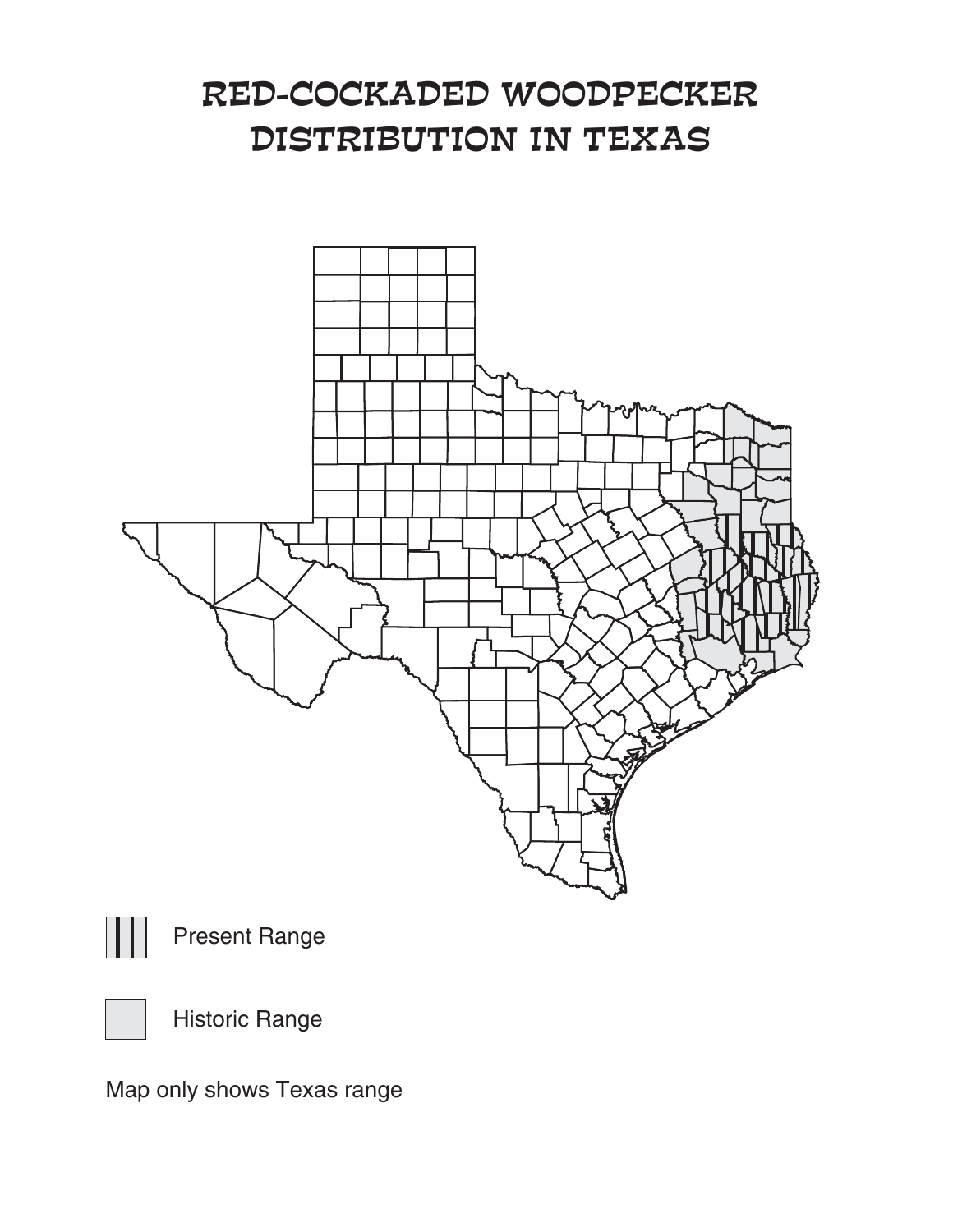# RED-COCKADED WOODPECKER DISTRIBUTION IN TEXAS





Present Range



Historic Range

Map only shows Texas range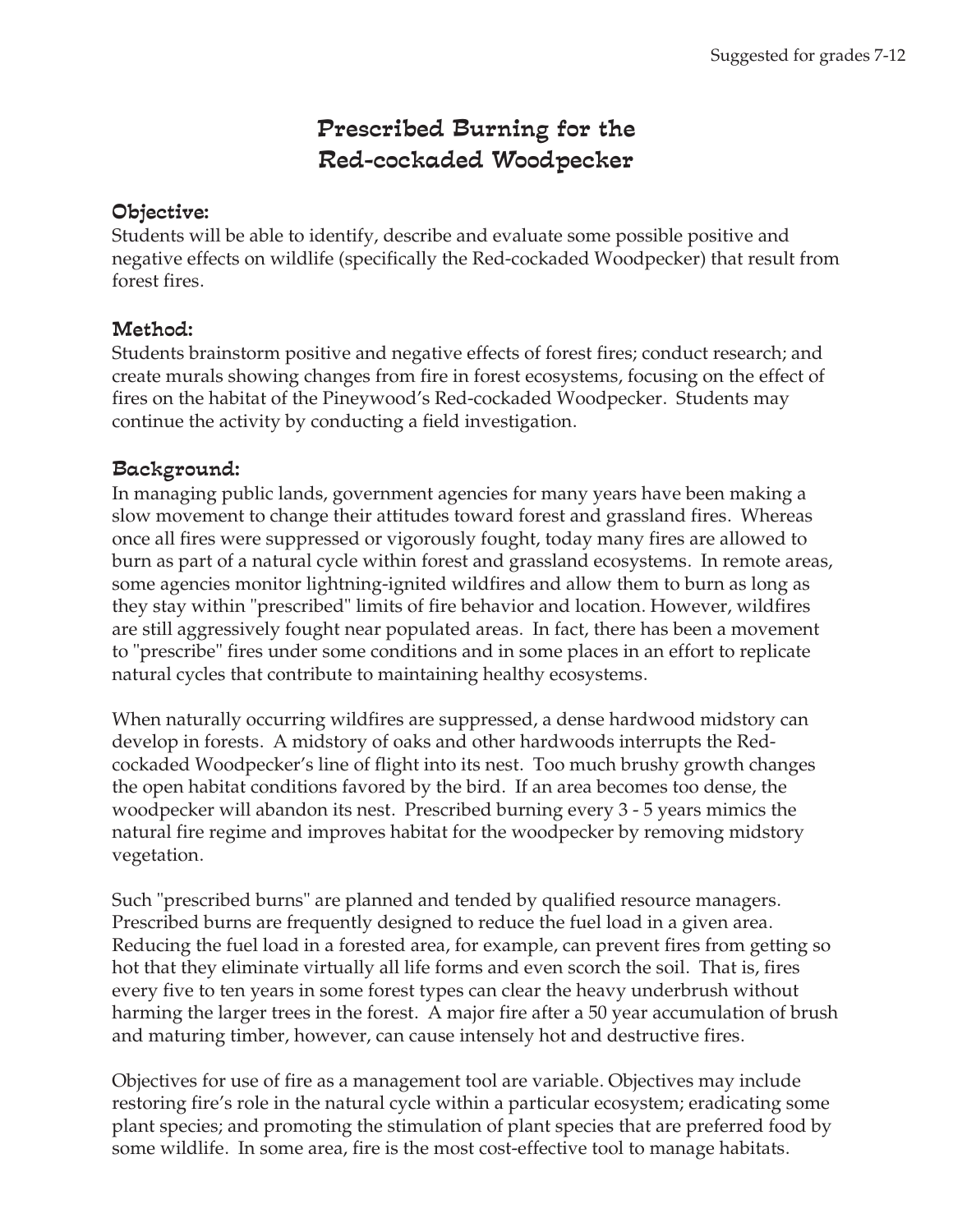### Prescribed Burning for the Red-cockaded Woodpecker

#### Objective:

Students will be able to identify, describe and evaluate some possible positive and negative effects on wildlife (specifically the Red-cockaded Woodpecker) that result from forest fires.

#### Method:

Students brainstorm positive and negative effects of forest fires; conduct research; and create murals showing changes from fire in forest ecosystems, focusing on the effect of fires on the habitat of the Pineywood's Red-cockaded Woodpecker. Students may continue the activity by conducting a field investigation.

#### Background:

In managing public lands, government agencies for many years have been making a slow movement to change their attitudes toward forest and grassland fires. Whereas once all fires were suppressed or vigorously fought, today many fires are allowed to burn as part of a natural cycle within forest and grassland ecosystems. In remote areas, some agencies monitor lightning-ignited wildfires and allow them to burn as long as they stay within "prescribed" limits of fire behavior and location. However, wildfires are still aggressively fought near populated areas. In fact, there has been a movement to "prescribe" fires under some conditions and in some places in an effort to replicate natural cycles that contribute to maintaining healthy ecosystems.

When naturally occurring wildfires are suppressed, a dense hardwood midstory can develop in forests. A midstory of oaks and other hardwoods interrupts the Redcockaded Woodpecker's line of flight into its nest. Too much brushy growth changes the open habitat conditions favored by the bird. If an area becomes too dense, the woodpecker will abandon its nest. Prescribed burning every 3 - 5 years mimics the natural fire regime and improves habitat for the woodpecker by removing midstory vegetation.

Such "prescribed burns" are planned and tended by qualified resource managers. Prescribed burns are frequently designed to reduce the fuel load in a given area. Reducing the fuel load in a forested area, for example, can prevent fires from getting so hot that they eliminate virtually all life forms and even scorch the soil. That is, fires every five to ten years in some forest types can clear the heavy underbrush without harming the larger trees in the forest. A major fire after a 50 year accumulation of brush and maturing timber, however, can cause intensely hot and destructive fires.

Objectives for use of fire as a management tool are variable. Objectives may include restoring fire's role in the natural cycle within a particular ecosystem; eradicating some plant species; and promoting the stimulation of plant species that are preferred food by some wildlife. In some area, fire is the most cost-effective tool to manage habitats.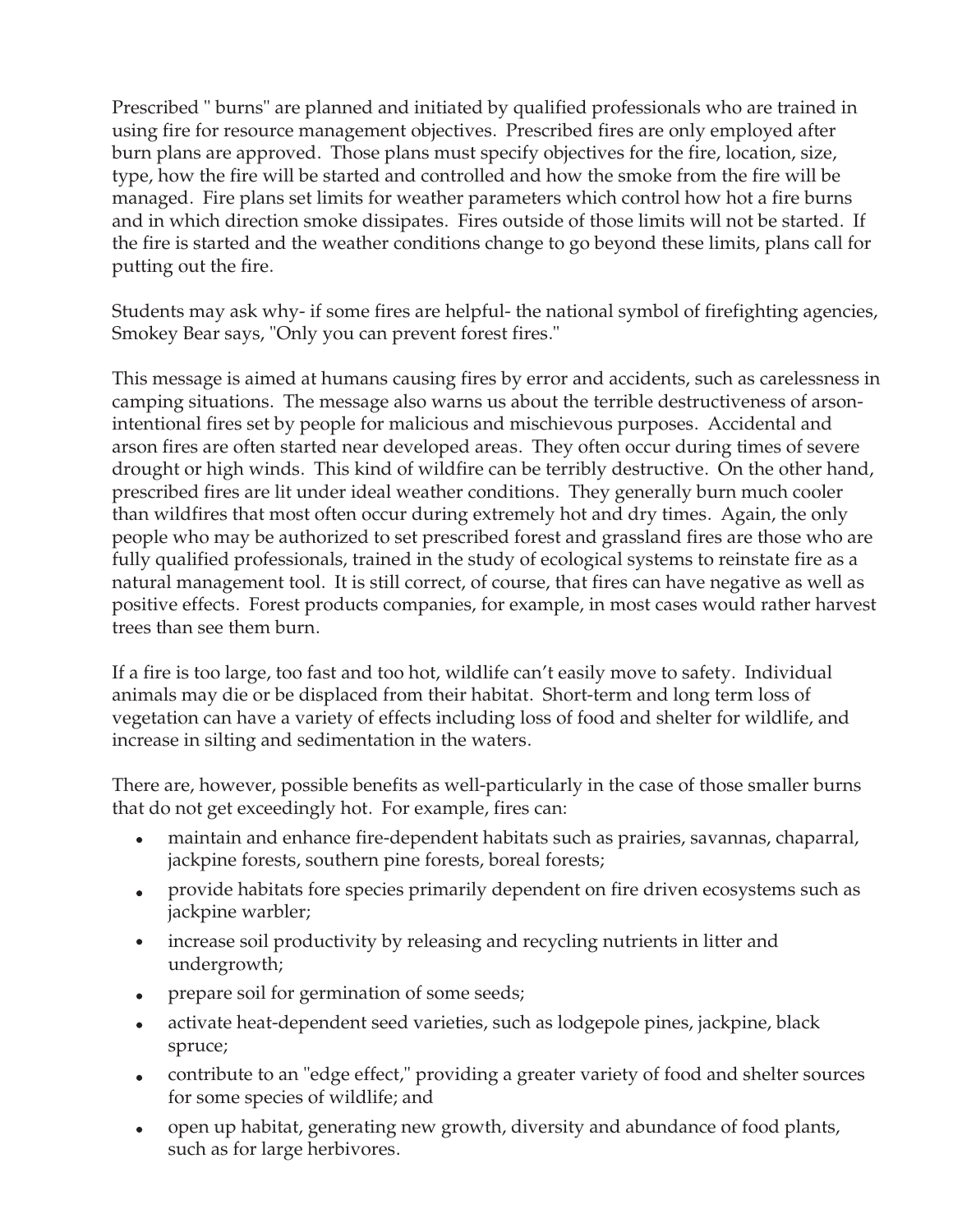Prescribed " burns" are planned and initiated by qualified professionals who are trained in using fire for resource management objectives. Prescribed fires are only employed after burn plans are approved. Those plans must specify objectives for the fire, location, size, type, how the fire will be started and controlled and how the smoke from the fire will be managed. Fire plans set limits for weather parameters which control how hot a fire burns and in which direction smoke dissipates. Fires outside of those limits will not be started. If the fire is started and the weather conditions change to go beyond these limits, plans call for putting out the fire.

Students may ask why- if some fires are helpful- the national symbol of firefighting agencies, Smokey Bear says, "Only you can prevent forest fires."

This message is aimed at humans causing fires by error and accidents, such as carelessness in camping situations. The message also warns us about the terrible destructiveness of arsonintentional fires set by people for malicious and mischievous purposes. Accidental and arson fires are often started near developed areas. They often occur during times of severe drought or high winds. This kind of wildfire can be terribly destructive. On the other hand, prescribed fires are lit under ideal weather conditions. They generally burn much cooler than wildfires that most often occur during extremely hot and dry times. Again, the only people who may be authorized to set prescribed forest and grassland fires are those who are fully qualified professionals, trained in the study of ecological systems to reinstate fire as a natural management tool. It is still correct, of course, that fires can have negative as well as positive effects. Forest products companies, for example, in most cases would rather harvest trees than see them burn.

If a fire is too large, too fast and too hot, wildlife can't easily move to safety. Individual animals may die or be displaced from their habitat. Short-term and long term loss of vegetation can have a variety of effects including loss of food and shelter for wildlife, and increase in silting and sedimentation in the waters.

There are, however, possible benefits as well-particularly in the case of those smaller burns that do not get exceedingly hot. For example, fires can:

- maintain and enhance fire-dependent habitats such as prairies, savannas, chaparral, jackpine forests, southern pine forests, boreal forests;
- provide habitats fore species primarily dependent on fire driven ecosystems such as jackpine warbler;
- increase soil productivity by releasing and recycling nutrients in litter and undergrowth;
- prepare soil for germination of some seeds;
- activate heat-dependent seed varieties, such as lodgepole pines, jackpine, black spruce;
- contribute to an "edge effect," providing a greater variety of food and shelter sources for some species of wildlife; and
- open up habitat, generating new growth, diversity and abundance of food plants, such as for large herbivores.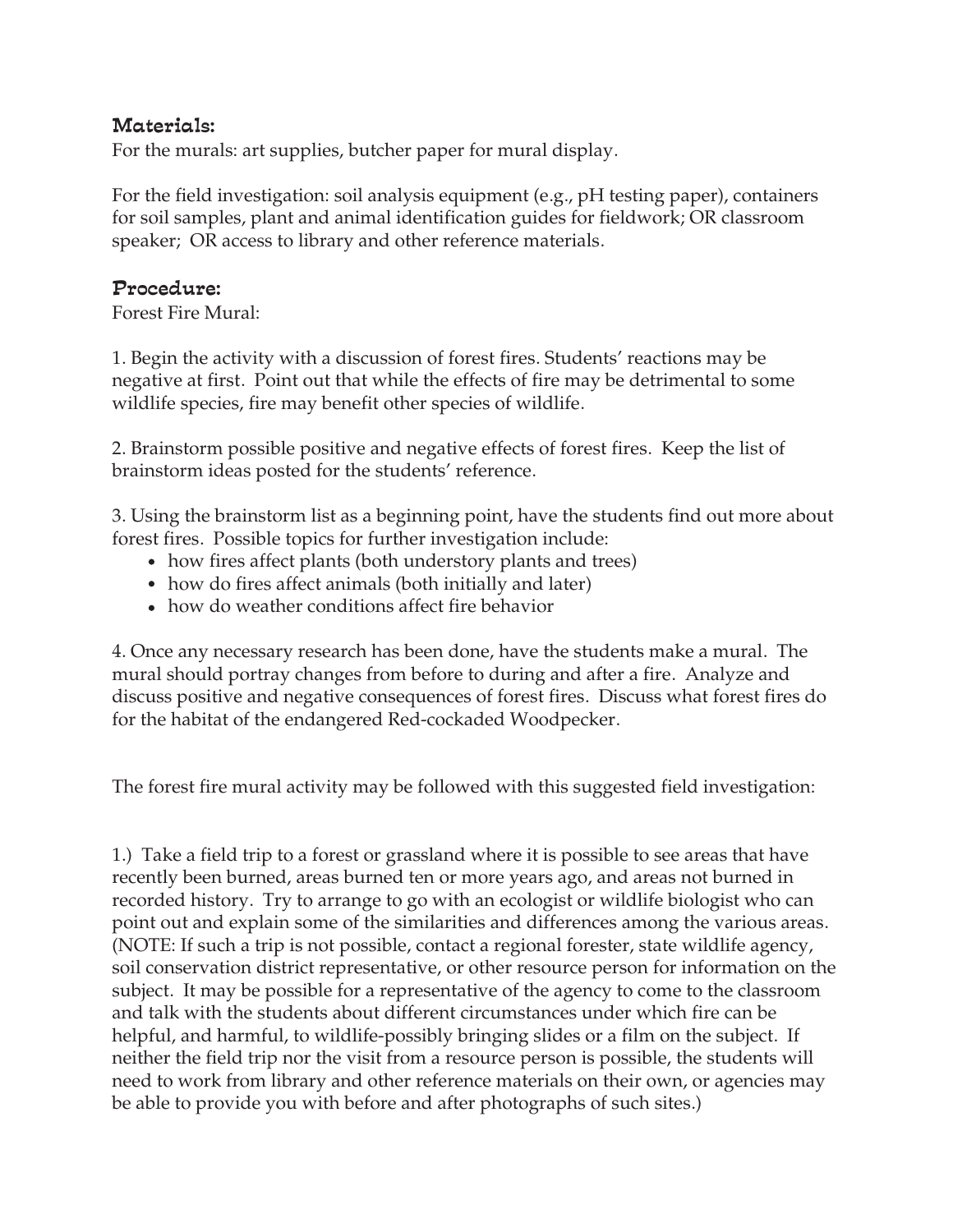#### Materials:

For the murals: art supplies, butcher paper for mural display.

For the field investigation: soil analysis equipment (e.g., pH testing paper), containers for soil samples, plant and animal identification guides for fieldwork; OR classroom speaker; OR access to library and other reference materials.

#### Procedure:

Forest Fire Mural:

1. Begin the activity with a discussion of forest fires. Students' reactions may be negative at first. Point out that while the effects of fire may be detrimental to some wildlife species, fire may benefit other species of wildlife.

2. Brainstorm possible positive and negative effects of forest fires. Keep the list of brainstorm ideas posted for the students' reference.

3. Using the brainstorm list as a beginning point, have the students find out more about forest fires. Possible topics for further investigation include:

- how fires affect plants (both understory plants and trees)
- how do fires affect animals (both initially and later)
- how do weather conditions affect fire behavior

4. Once any necessary research has been done, have the students make a mural. The mural should portray changes from before to during and after a fire. Analyze and discuss positive and negative consequences of forest fires. Discuss what forest fires do for the habitat of the endangered Red-cockaded Woodpecker.

The forest fire mural activity may be followed with this suggested field investigation:

1.) Take a field trip to a forest or grassland where it is possible to see areas that have recently been burned, areas burned ten or more years ago, and areas not burned in recorded history. Try to arrange to go with an ecologist or wildlife biologist who can point out and explain some of the similarities and differences among the various areas. (NOTE: If such a trip is not possible, contact a regional forester, state wildlife agency, soil conservation district representative, or other resource person for information on the subject. It may be possible for a representative of the agency to come to the classroom and talk with the students about different circumstances under which fire can be helpful, and harmful, to wildlife-possibly bringing slides or a film on the subject. If neither the field trip nor the visit from a resource person is possible, the students will need to work from library and other reference materials on their own, or agencies may be able to provide you with before and after photographs of such sites.)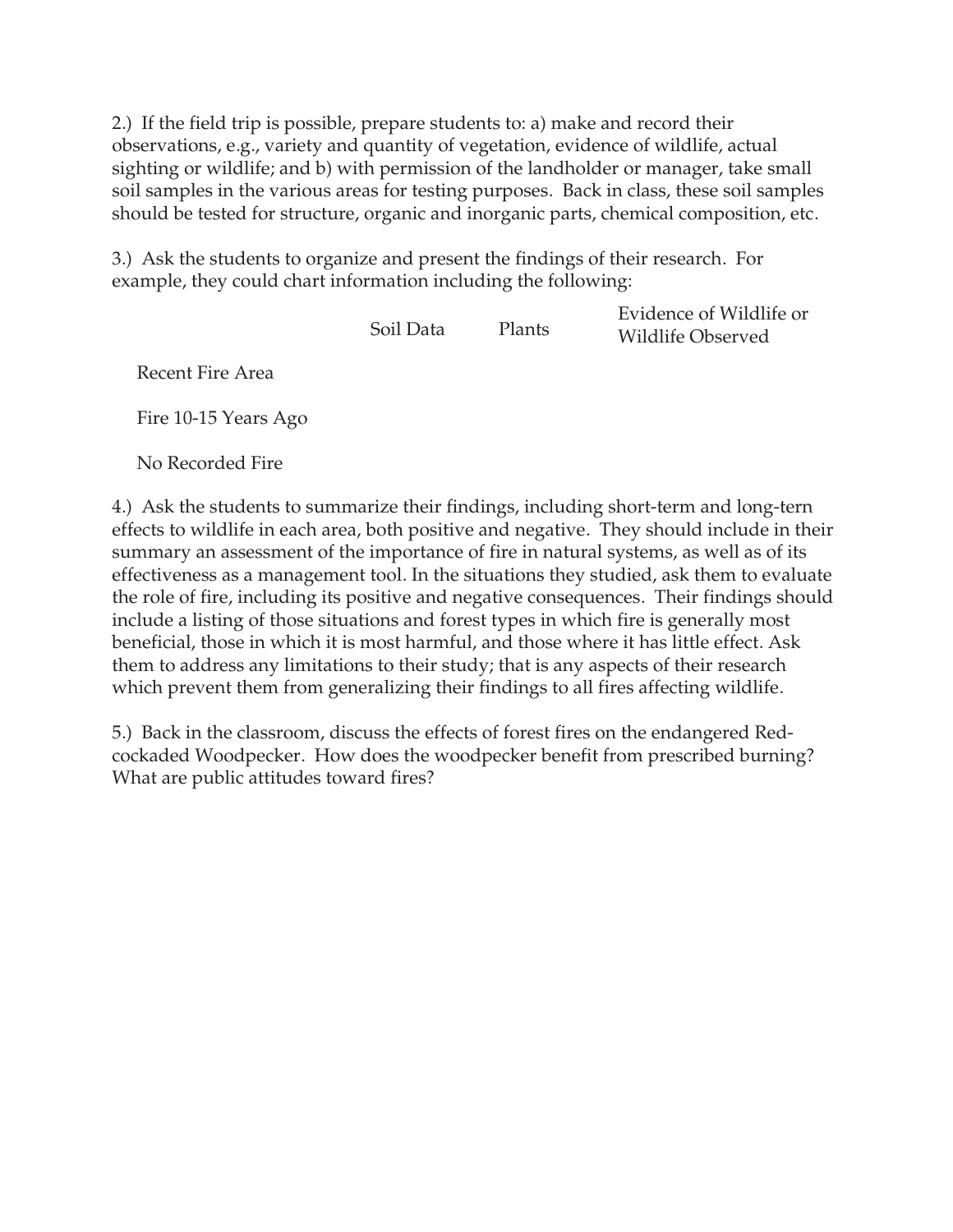2.) If the field trip is possible, prepare students to: a) make and record their observations, e.g., variety and quantity of vegetation, evidence of wildlife, actual sighting or wildlife; and b) with permission of the landholder or manager, take small soil samples in the various areas for testing purposes. Back in class, these soil samples should be tested for structure, organic and inorganic parts, chemical composition, etc.

3.) Ask the students to organize and present the findings of their research. For example, they could chart information including the following:

> Soil Data Plants Evidence of Wildlife or Wildlife Observed

Recent Fire Area

Fire 10-15 Years Ago

No Recorded Fire

4.) Ask the students to summarize their findings, including short-term and long-tern effects to wildlife in each area, both positive and negative. They should include in their summary an assessment of the importance of fire in natural systems, as well as of its effectiveness as a management tool. In the situations they studied, ask them to evaluate the role of fire, including its positive and negative consequences. Their findings should include a listing of those situations and forest types in which fire is generally most beneficial, those in which it is most harmful, and those where it has little effect. Ask them to address any limitations to their study; that is any aspects of their research which prevent them from generalizing their findings to all fires affecting wildlife.

5.) Back in the classroom, discuss the effects of forest fires on the endangered Redcockaded Woodpecker. How does the woodpecker benefit from prescribed burning? What are public attitudes toward fires?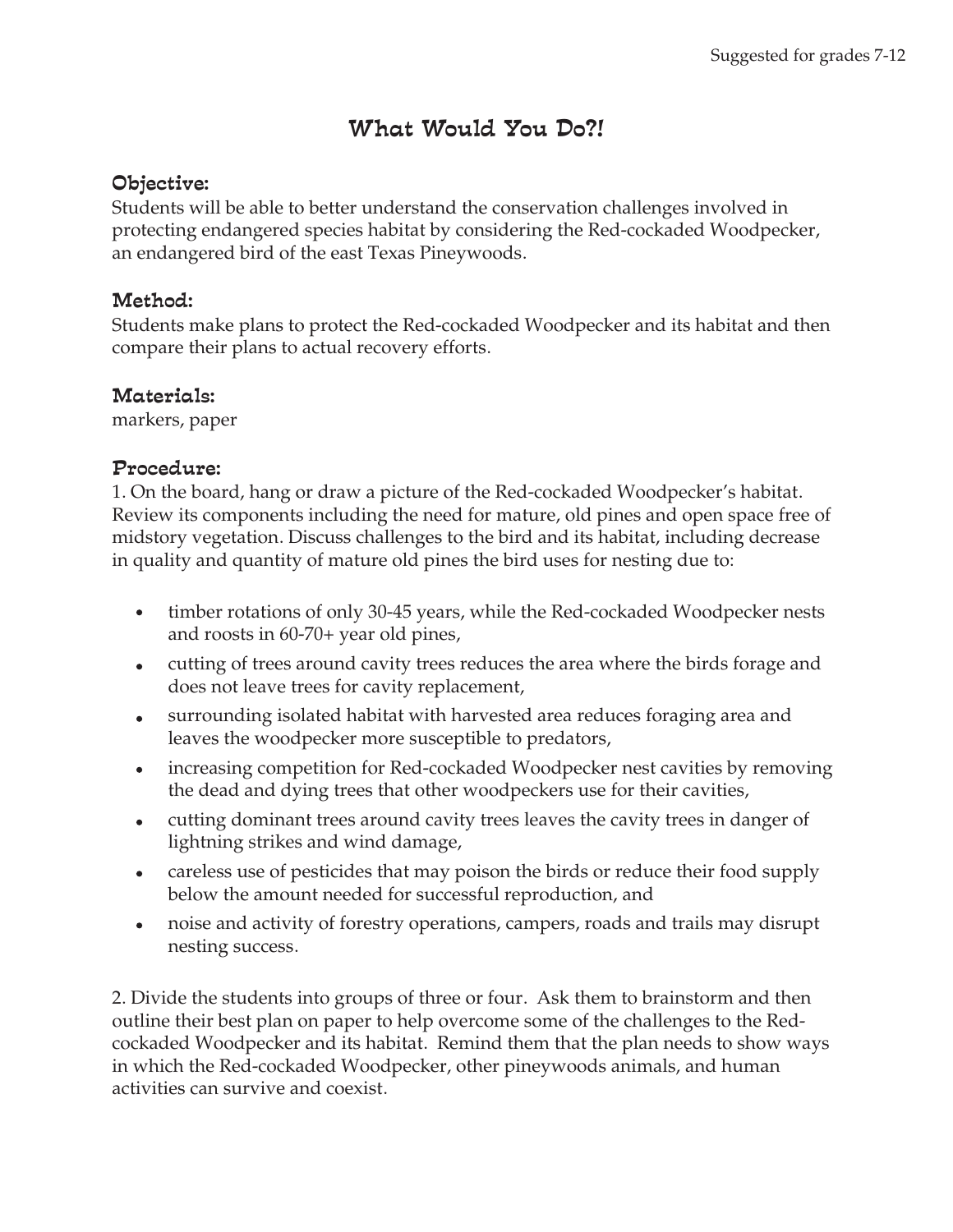### What Would You Do?!

#### Objective:

Students will be able to better understand the conservation challenges involved in protecting endangered species habitat by considering the Red-cockaded Woodpecker, an endangered bird of the east Texas Pineywoods.

### Method:

Students make plans to protect the Red-cockaded Woodpecker and its habitat and then compare their plans to actual recovery efforts.

#### Materials:

markers, paper

#### Procedure:

1. On the board, hang or draw a picture of the Red-cockaded Woodpecker's habitat. Review its components including the need for mature, old pines and open space free of midstory vegetation. Discuss challenges to the bird and its habitat, including decrease in quality and quantity of mature old pines the bird uses for nesting due to:

- $\bullet$ timber rotations of only 30-45 years, while the Red-cockaded Woodpecker nests and roosts in 60-70+ year old pines,
- cutting of trees around cavity trees reduces the area where the birds forage and does not leave trees for cavity replacement,
- surrounding isolated habitat with harvested area reduces foraging area and leaves the woodpecker more susceptible to predators,
- increasing competition for Red-cockaded Woodpecker nest cavities by removing  $\bullet$ the dead and dying trees that other woodpeckers use for their cavities,
- cutting dominant trees around cavity trees leaves the cavity trees in danger of lightning strikes and wind damage,
- careless use of pesticides that may poison the birds or reduce their food supply below the amount needed for successful reproduction, and
- noise and activity of forestry operations, campers, roads and trails may disrupt nesting success.

2. Divide the students into groups of three or four. Ask them to brainstorm and then outline their best plan on paper to help overcome some of the challenges to the Redcockaded Woodpecker and its habitat. Remind them that the plan needs to show ways in which the Red-cockaded Woodpecker, other pineywoods animals, and human activities can survive and coexist.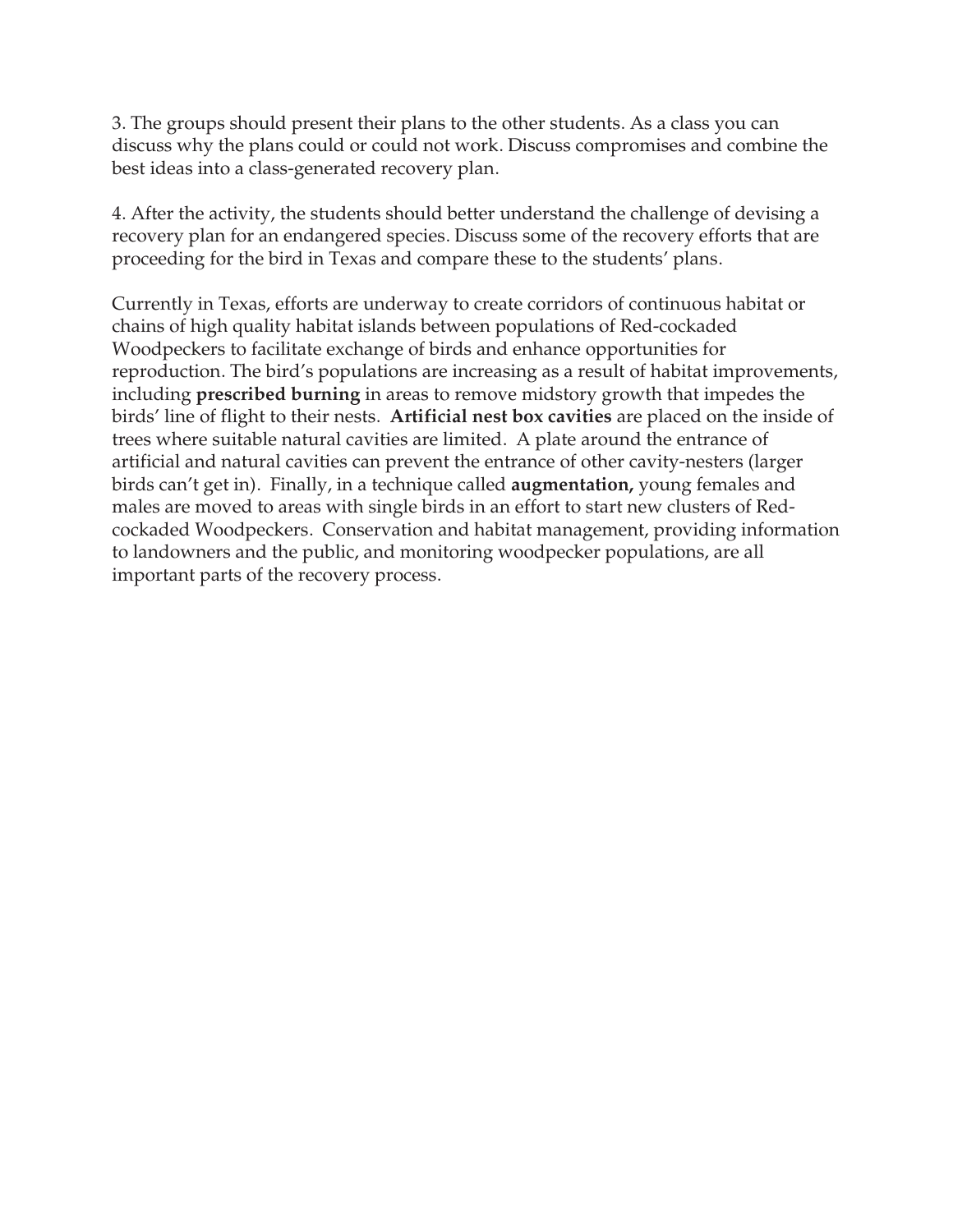3. The groups should present their plans to the other students. As a class you can discuss why the plans could or could not work. Discuss compromises and combine the best ideas into a class-generated recovery plan.

4. After the activity, the students should better understand the challenge of devising a recovery plan for an endangered species. Discuss some of the recovery efforts that are proceeding for the bird in Texas and compare these to the students' plans.

Currently in Texas, efforts are underway to create corridors of continuous habitat or chains of high quality habitat islands between populations of Red-cockaded Woodpeckers to facilitate exchange of birds and enhance opportunities for reproduction. The bird's populations are increasing as a result of habitat improvements, including **prescribed burning** in areas to remove midstory growth that impedes the birds' line of flight to their nests. **Artificial nest box cavities** are placed on the inside of trees where suitable natural cavities are limited. A plate around the entrance of artificial and natural cavities can prevent the entrance of other cavity-nesters (larger birds can't get in). Finally*,* in a technique called **augmentation,** young females and males are moved to areas with single birds in an effort to start new clusters of Redcockaded Woodpeckers. Conservation and habitat management, providing information to landowners and the public, and monitoring woodpecker populations, are all important parts of the recovery process.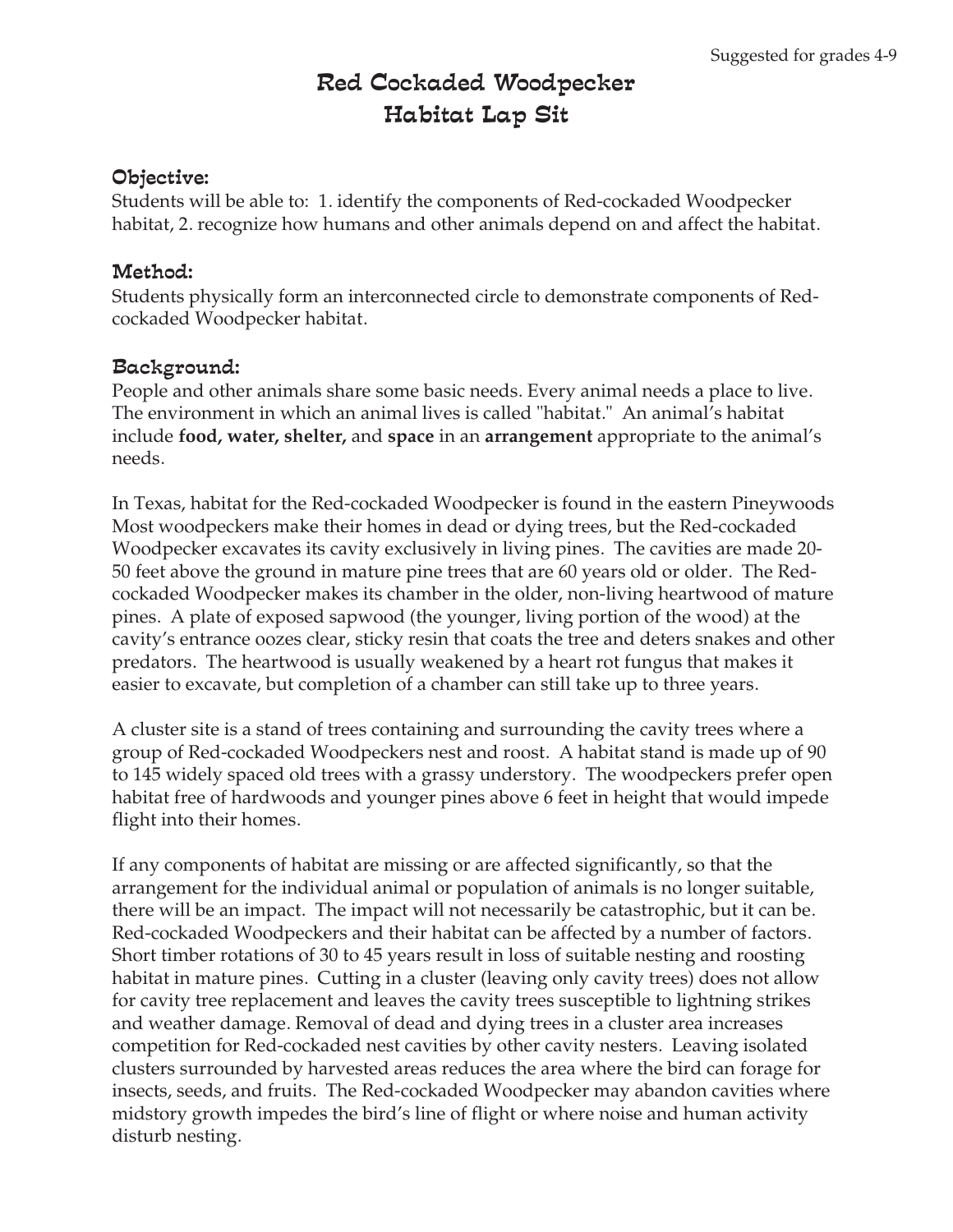### Red Cockaded Woodpecker Habitat Lap Sit

#### Objective:

Students will be able to: 1. identify the components of Red-cockaded Woodpecker habitat, 2. recognize how humans and other animals depend on and affect the habitat.

#### Method:

Students physically form an interconnected circle to demonstrate components of Redcockaded Woodpecker habitat.

#### Background:

People and other animals share some basic needs. Every animal needs a place to live. The environment in which an animal lives is called "habitat." An animal's habitat include f**ood, water, shelter,** and **space** in an **arrangement** appropriate to the animal's needs.

In Texas, habitat for the Red-cockaded Woodpecker is found in the eastern Pineywoods Most woodpeckers make their homes in dead or dying trees, but the Red-cockaded Woodpecker excavates its cavity exclusively in living pines. The cavities are made 20- 50 feet above the ground in mature pine trees that are 60 years old or older. The Redcockaded Woodpecker makes its chamber in the older, non-living heartwood of mature pines. A plate of exposed sapwood (the younger, living portion of the wood) at the cavity's entrance oozes clear, sticky resin that coats the tree and deters snakes and other predators. The heartwood is usually weakened by a heart rot fungus that makes it easier to excavate, but completion of a chamber can still take up to three years.

A cluster site is a stand of trees containing and surrounding the cavity trees where a group of Red-cockaded Woodpeckers nest and roost. A habitat stand is made up of 90 to 145 widely spaced old trees with a grassy understory. The woodpeckers prefer open habitat free of hardwoods and younger pines above 6 feet in height that would impede flight into their homes.

If any components of habitat are missing or are affected significantly, so that the arrangement for the individual animal or population of animals is no longer suitable, there will be an impact. The impact will not necessarily be catastrophic, but it can be. Red-cockaded Woodpeckers and their habitat can be affected by a number of factors. Short timber rotations of 30 to 45 years result in loss of suitable nesting and roosting habitat in mature pines. Cutting in a cluster (leaving only cavity trees) does not allow for cavity tree replacement and leaves the cavity trees susceptible to lightning strikes and weather damage. Removal of dead and dying trees in a cluster area increases competition for Red-cockaded nest cavities by other cavity nesters. Leaving isolated clusters surrounded by harvested areas reduces the area where the bird can forage for insects, seeds, and fruits. The Red-cockaded Woodpecker may abandon cavities where midstory growth impedes the bird's line of flight or where noise and human activity disturb nesting.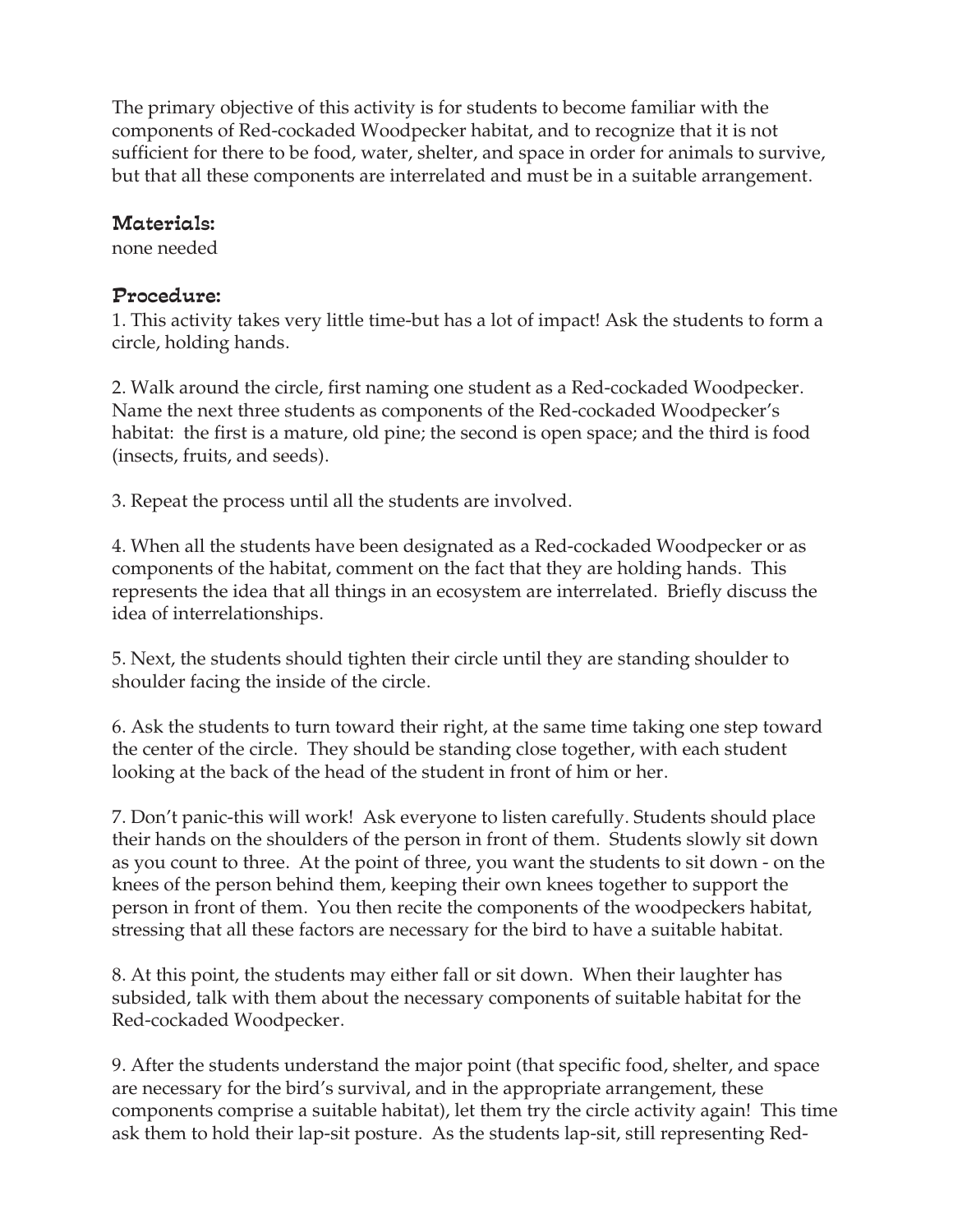The primary objective of this activity is for students to become familiar with the components of Red-cockaded Woodpecker habitat, and to recognize that it is not sufficient for there to be food, water, shelter, and space in order for animals to survive, but that all these components are interrelated and must be in a suitable arrangement.

#### Materials:

none needed

### Procedure:

1. This activity takes very little time-but has a lot of impact! Ask the students to form a circle, holding hands.

2. Walk around the circle, first naming one student as a Red-cockaded Woodpecker. Name the next three students as components of the Red-cockaded Woodpecker's habitat: the first is a mature, old pine; the second is open space; and the third is food (insects, fruits, and seeds).

3. Repeat the process until all the students are involved.

4. When all the students have been designated as a Red-cockaded Woodpecker or as components of the habitat, comment on the fact that they are holding hands. This represents the idea that all things in an ecosystem are interrelated. Briefly discuss the idea of interrelationships.

5. Next, the students should tighten their circle until they are standing shoulder to shoulder facing the inside of the circle.

6. Ask the students to turn toward their right, at the same time taking one step toward the center of the circle. They should be standing close together, with each student looking at the back of the head of the student in front of him or her.

7. Don't panic-this will work! Ask everyone to listen carefully. Students should place their hands on the shoulders of the person in front of them. Students slowly sit down as you count to three. At the point of three, you want the students to sit down - on the knees of the person behind them, keeping their own knees together to support the person in front of them. You then recite the components of the woodpeckers habitat, stressing that all these factors are necessary for the bird to have a suitable habitat.

8. At this point, the students may either fall or sit down. When their laughter has subsided, talk with them about the necessary components of suitable habitat for the Red-cockaded Woodpecker.

9. After the students understand the major point (that specific food, shelter, and space are necessary for the bird's survival, and in the appropriate arrangement, these components comprise a suitable habitat), let them try the circle activity again! This time ask them to hold their lap-sit posture. As the students lap-sit, still representing Red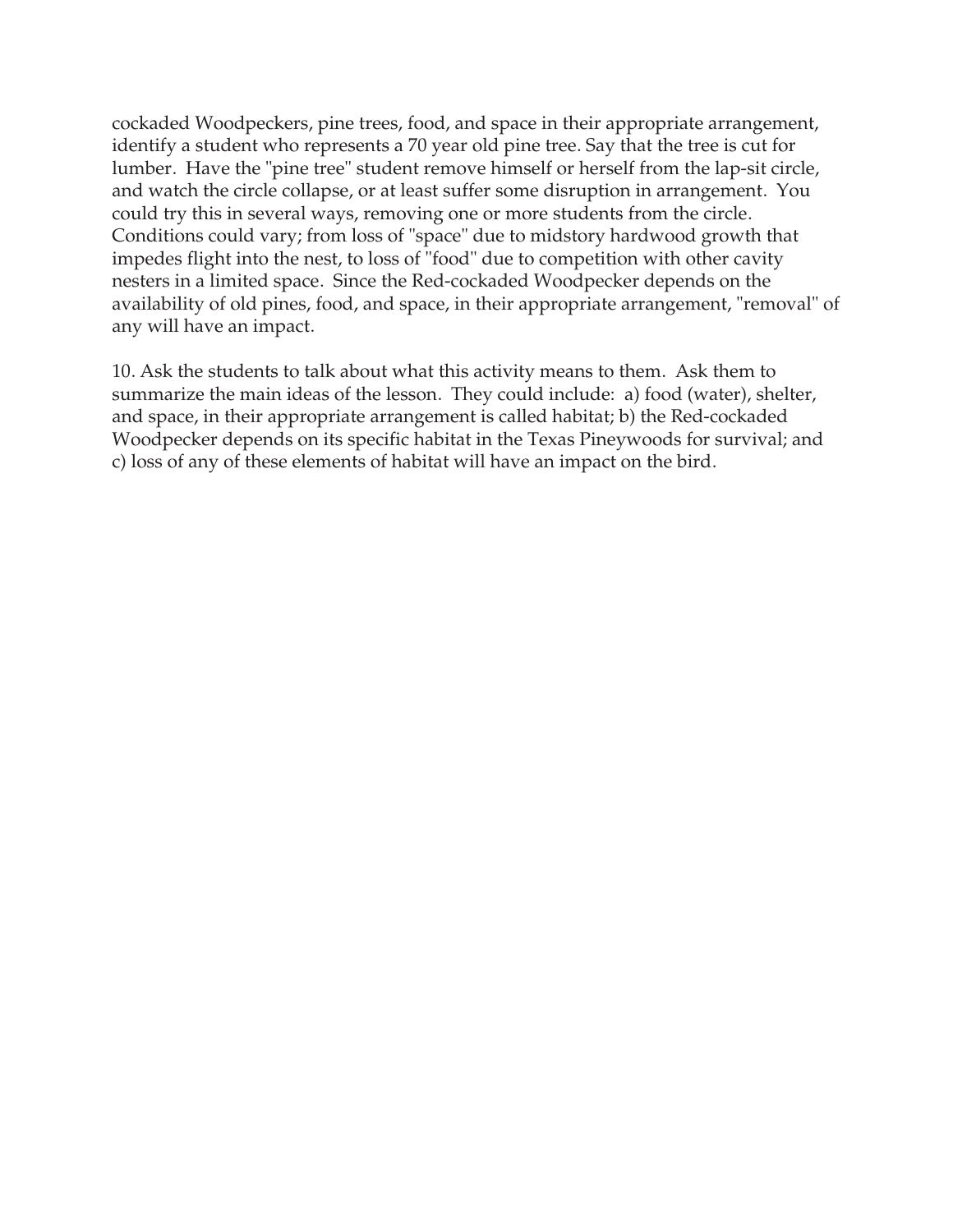cockaded Woodpeckers, pine trees, food, and space in their appropriate arrangement, identify a student who represents a 70 year old pine tree. Say that the tree is cut for lumber. Have the "pine tree" student remove himself or herself from the lap-sit circle, and watch the circle collapse, or at least suffer some disruption in arrangement. You could try this in several ways, removing one or more students from the circle. Conditions could vary; from loss of "space" due to midstory hardwood growth that impedes flight into the nest, to loss of "food" due to competition with other cavity nesters in a limited space. Since the Red-cockaded Woodpecker depends on the availability of old pines, food, and space, in their appropriate arrangement, "removal" of any will have an impact.

10. Ask the students to talk about what this activity means to them. Ask them to summarize the main ideas of the lesson. They could include: a) food (water), shelter, and space, in their appropriate arrangement is called habitat; b) the Red-cockaded Woodpecker depends on its specific habitat in the Texas Pineywoods for survival; and c) loss of any of these elements of habitat will have an impact on the bird.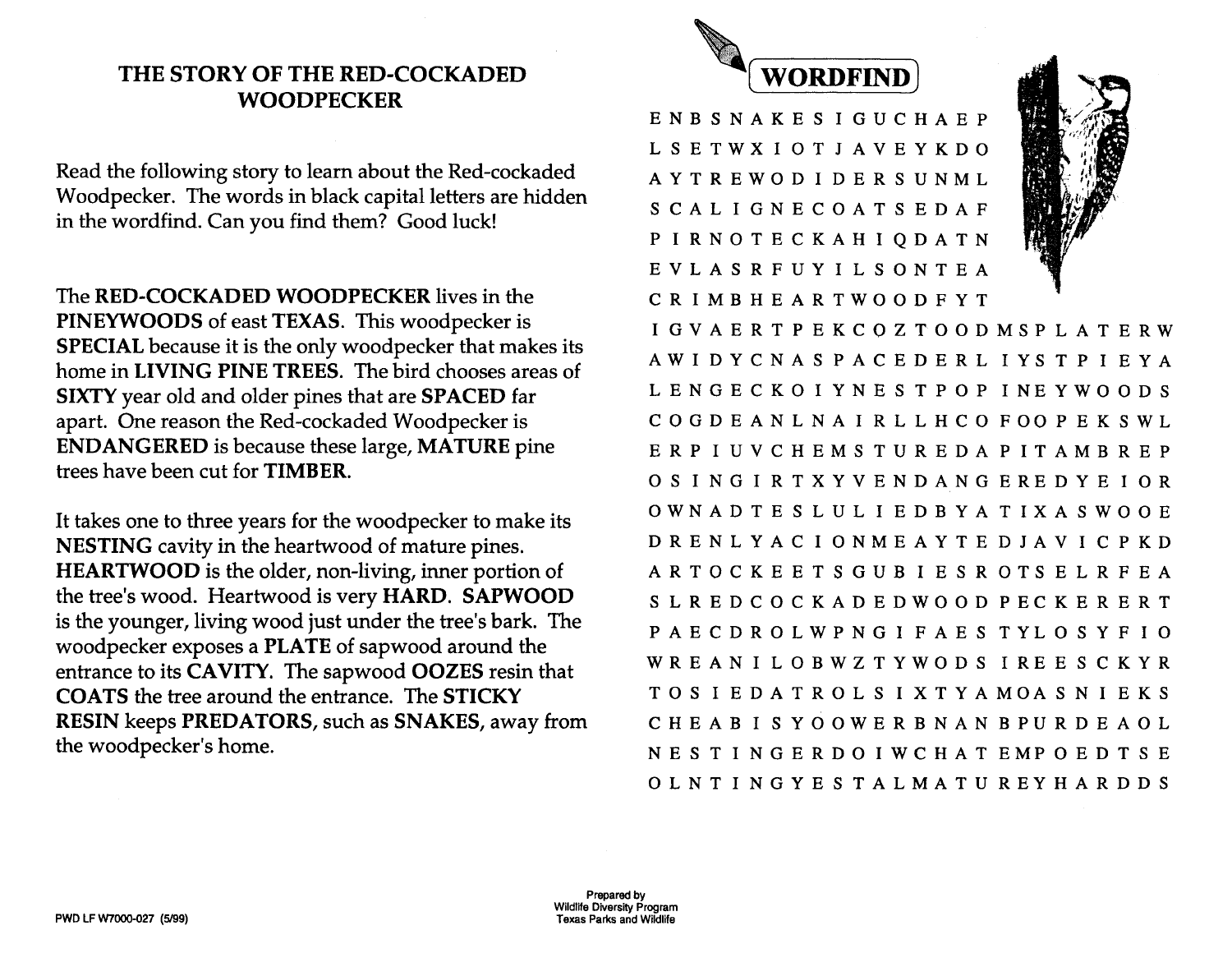### THE STORY OF THE RED-COCKADED **WOODPECKER**

Read the following story to learn about the Red-cockaded Woodpecker. The words in black capital letters are hidden in the wordfind. Can you find them? Good luck!

The RED-COCKADED WOODPECKER lives in the PINEYWOODS of east TEXAS. This woodpecker is **SPECIAL** because it is the only woodpecker that makes its home in LIVING PINE TREES. The bird chooses areas of SIXTY year old and older pines that are SPACED far apart. One reason the Red-cockaded Woodpecker is **ENDANGERED** is because these large, MATURE pine trees have been cut for **TIMBER**.

It takes one to three years for the woodpecker to make its NESTING cavity in the heartwood of mature pines. HEARTWOOD is the older, non-living, inner portion of the tree's wood. Heartwood is very HARD. SAPWOOD is the younger, living wood just under the tree's bark. The woodpecker exposes a PLATE of sapwood around the entrance to its CAVITY. The sapwood OOZES resin that **COATS** the tree around the entrance. The **STICKY** RESIN keeps PREDATORS, such as SNAKES, away from the woodpecker's home.

**WORDFIND** 

ENBSNAKESIGUCHAEP L S E T W X I O T J A V E Y K D O **AYTREWODIDERSUNML SCALIGNECOATSEDAF** PIRNOTECKAHIQDATN EVLASRFUYILSONTEA **CRIMBHEARTWOODFYT** 



I GVAERTPEKCOZTOODMSPLATERW AWIDYCNASPACEDERL IYSTPIEYA L ENGECKOIYNESTPOP INEYWOODS COGDEANLNAIRLLHCOFOOPEKSWL ERPIUVCHEMSTUREDA PITAMBREP OSINGIRTXYVENDANGEREDYEIOR OWNADTESLULIEDBYATIXASWOOE DRENLYACIONMEAYTEDJAVICPKD ARTOCKEETSGUBIESROTSELRFEA S L R E D C O C K A D E D W O O D P E C K E R E R T PAECDROLWPNGIFAESTYLOSYFIO WREANILOBWZTYWODS IREESCKYR TOSIEDATROLSIXTYAMOASNIEKS CHEABISYOOWERBNANBPURDEAOL NESTINGERDOIWCHATEMPOEDTSE OLNTINGYESTALMATUREYHARDDS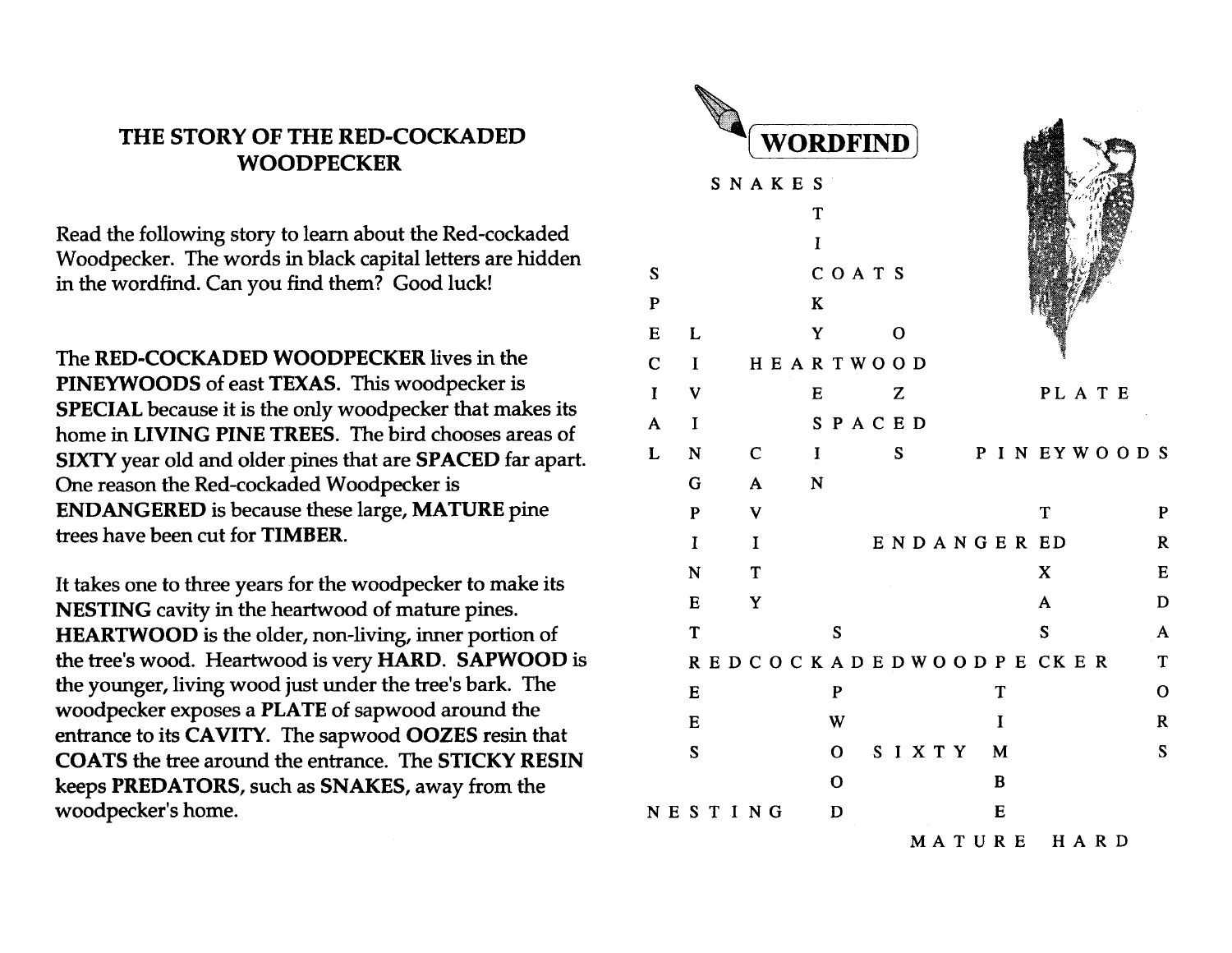### THE STORY OF THE RED-COCKADED **WOODPECKER**

Read the following story to learn about the Red-cockaded Woodpecker. The words in black capital letters are hidden in the wordfind. Can you find them? Good luck!

The RED-COCKADED WOODPECKER lives in the PINEYWOODS of east TEXAS. This woodpecker is **SPECIAL** because it is the only woodpecker that makes its home in LIVING PINE TREES. The bird chooses areas of SIXTY year old and older pines that are SPACED far apart. One reason the Red-cockaded Woodpecker is **ENDANGERED** is because these large, **MATURE** pine trees have been cut for **TIMBER**.

It takes one to three years for the woodpecker to make its NESTING cavity in the heartwood of mature pines. HEARTWOOD is the older, non-living, inner portion of the tree's wood. Heartwood is very HARD. SAPWOOD is the younger, living wood just under the tree's bark. The woodpecker exposes a PLATE of sapwood around the entrance to its CAVITY. The sapwood OOZES resin that **COATS** the tree around the entrance. The **STICKY RESIN** keeps PREDATORS, such as SNAKES, away from the woodpecker's home.

|              |         |              |  |              |        |              |              | WORDFIND  |             |           |  |              |                        |  |              |  |
|--------------|---------|--------------|--|--------------|--------|--------------|--------------|-----------|-------------|-----------|--|--------------|------------------------|--|--------------|--|
|              |         |              |  |              | SNAKES |              |              |           |             |           |  |              |                        |  |              |  |
|              |         |              |  |              |        | T            |              |           |             |           |  |              |                        |  |              |  |
|              |         |              |  |              |        | $\mathbf{I}$ |              |           |             |           |  |              |                        |  |              |  |
| S            |         |              |  |              |        |              |              | COATS     |             |           |  |              |                        |  |              |  |
| $\mathbf{P}$ |         |              |  |              |        | $\bf K$      |              |           |             |           |  |              |                        |  |              |  |
| E            |         | $\mathbf{L}$ |  |              |        | Y            |              |           | $\mathbf O$ |           |  |              |                        |  |              |  |
| $\mathbf C$  |         | $\mathbf{I}$ |  |              |        |              |              | HEARTWOOD |             |           |  |              |                        |  |              |  |
| $\mathbf I$  |         | V            |  |              |        | E            |              |           | Z           |           |  |              | PLATE                  |  |              |  |
| $\mathbf{A}$ |         | $\mathbf{I}$ |  |              |        |              |              | SPACED    |             |           |  |              |                        |  |              |  |
| L            |         | ${\bf N}$    |  | $\mathbf{C}$ |        | $\mathbf{I}$ |              |           | S.          |           |  |              | PIN EYWOODS            |  |              |  |
|              |         | G            |  | $\mathbf{A}$ |        | $\mathbf N$  |              |           |             |           |  |              |                        |  |              |  |
|              |         | $\mathbf P$  |  | V            |        |              |              |           |             |           |  |              | T                      |  | ${\bf P}$    |  |
|              |         | $\mathbf{I}$ |  | $\mathbf{I}$ |        |              |              |           |             |           |  |              | ENDANGER ED            |  | $\mathbf R$  |  |
|              |         | $\mathbf N$  |  | T            |        |              |              |           |             |           |  |              | $\mathbf X$            |  | ${\bf E}$    |  |
|              |         | ${\bf E}$    |  | Y            |        |              |              |           |             |           |  |              | A                      |  | D            |  |
|              |         | T            |  |              |        |              | S            |           |             |           |  |              | S                      |  | $\mathbf{A}$ |  |
|              |         |              |  |              |        |              |              |           |             |           |  |              | REDCOCKADEDWOODPE CKER |  | $\mathbf T$  |  |
|              |         | E            |  |              |        |              | $\mathbf{P}$ |           |             |           |  | т            |                        |  | $\mathbf O$  |  |
|              |         | E            |  |              |        |              | W            |           |             |           |  | $\mathbf{I}$ |                        |  | ${\bf R}$    |  |
|              |         | S            |  |              |        |              | $\mathbf{O}$ |           |             | S I X T Y |  | M            |                        |  | S            |  |
|              |         |              |  |              |        |              | $\mathbf O$  |           |             |           |  | B            |                        |  |              |  |
|              | NESTING |              |  |              |        |              | D            |           |             |           |  | E            |                        |  |              |  |
|              |         |              |  |              |        |              |              |           |             |           |  |              | MATURE HARD            |  |              |  |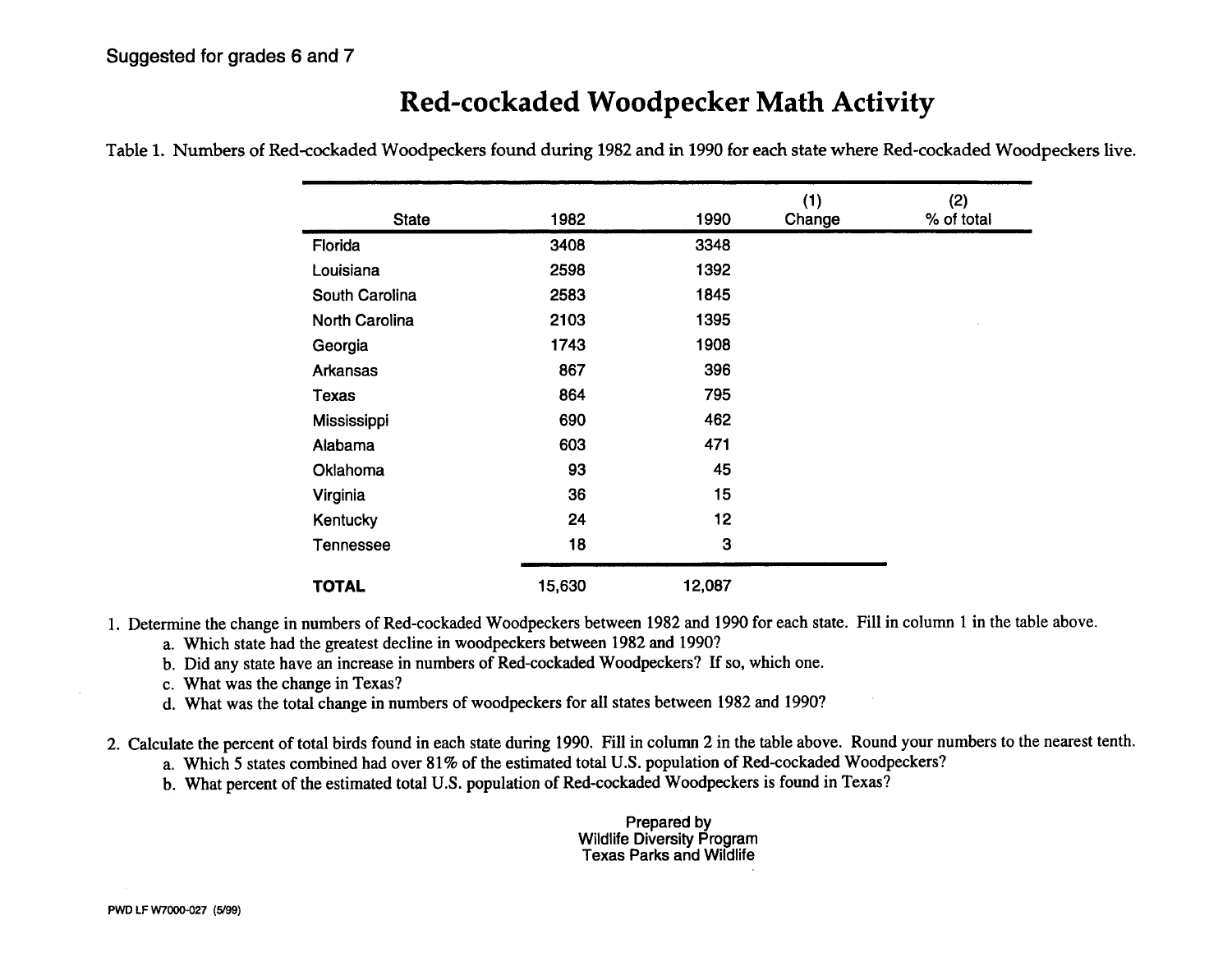#### Suggested for grades 6 and 7

### Red-cockaded Woodpecker Math Activity

| <b>State</b>     | 1982   | 1990   | (1)<br>Change | (2)<br>% of total |
|------------------|--------|--------|---------------|-------------------|
| Florida          | 3408   | 3348   |               |                   |
| Louisiana        | 2598   | 1392   |               |                   |
| South Carolina   | 2583   | 1845   |               |                   |
| North Carolina   | 2103   | 1395   |               |                   |
| Georgia          | 1743   | 1908   |               |                   |
| <b>Arkansas</b>  | 867    | 396    |               |                   |
| Texas            | 864    | 795    |               |                   |
| Mississippi      | 690    | 462    |               |                   |
| Alabama          | 603    | 471    |               |                   |
| Oklahoma         | 93     | 45     |               |                   |
| Virginia         | 36     | 15     |               |                   |
| Kentucky         | 24     | 12     |               |                   |
| <b>Tennessee</b> | 18     | 3      |               |                   |
| <b>TOTAL</b>     | 15,630 | 12,087 |               |                   |

Table 1. Numbers of Red-cockaded Woodpeckers found during 1982 and in 1990 for each state where Red-cockaded Woodpeckers live.

1. Determine the change in numbers of Red-cockaded Woodpeckers between 1982 and 1990 for each state. Fill in column 1 in the table above.

- a. Which state had the greatest decline in woodpeckers between 1982 and 1990?
- b. Did any state have an increase in numbers of Red-cockaded Woodpeckers? If so, which one.
- c. What was the change in Texas?
- d. What was the total change in numbers of woodpeckers for all states between 1982 and 1990?
- 2. Calculate the percent of total birds found in each state during 1990. Fill in column 2 in the table above. Round your numbers to the nearest tenth.
	- a. Which 5 states combined had over 81% of the estimated total U.S. population of Red-cockaded Woodpeckers?
	- b. What percent of the estimated total U.S. population of Red-cockaded Woodpeckers is found in Texas?

#### Prepared by **Wildlife Diversity Program Texas Parks and Wildlife**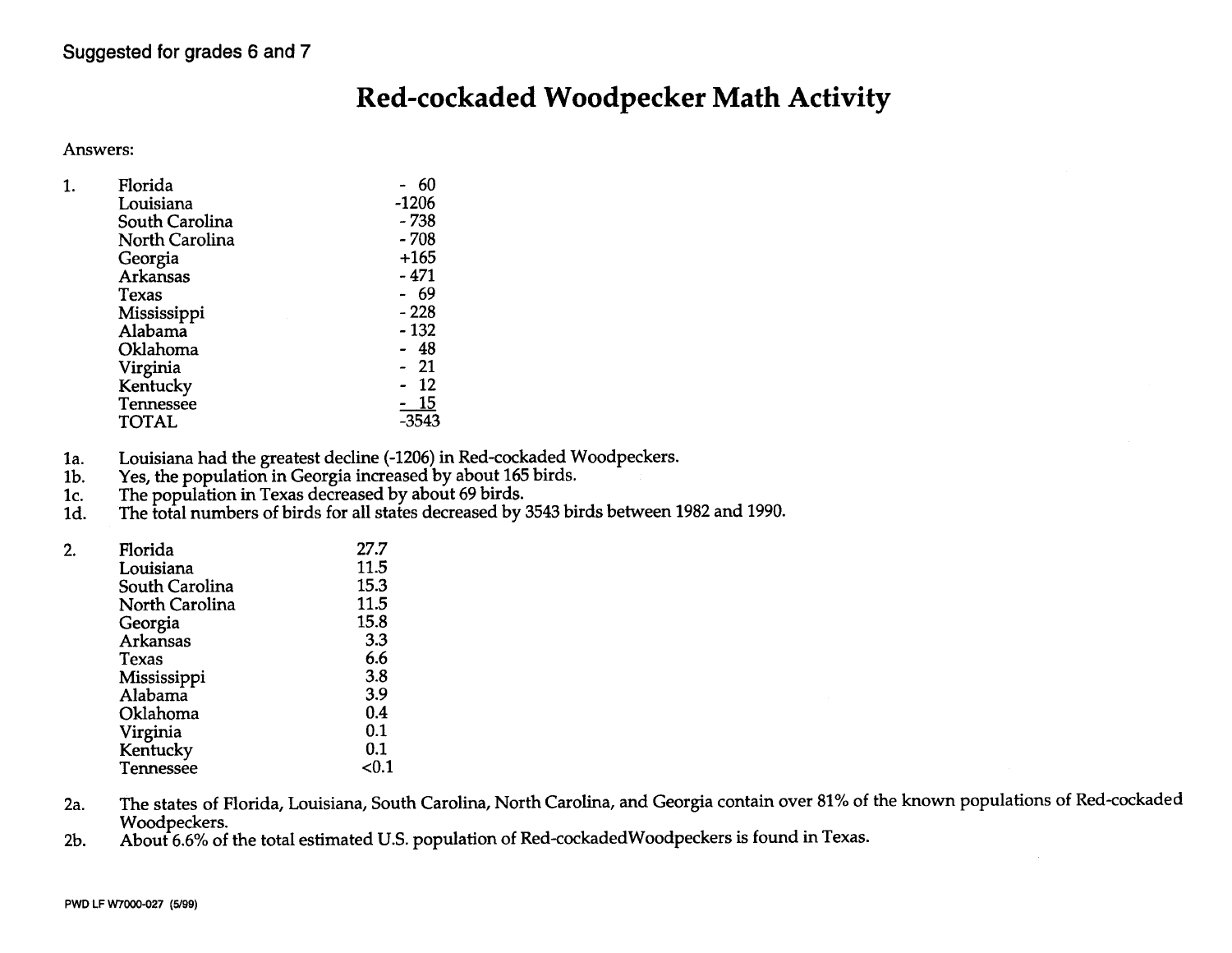## **Red-cockaded Woodpecker Math Activity**

#### Answers:

 $2.$ 

| Florida               | 60          |
|-----------------------|-------------|
| Louisiana             | $-1206$     |
| South Carolina        | - 738       |
| <b>North Carolina</b> | - 708       |
| Georgia               | $+165$      |
| <b>Arkansas</b>       | - 471       |
| Texas                 | - 69        |
| Mississippi           | $-228$      |
| Alabama               | - 132       |
| Oklahoma              | - 48        |
| Virginia              | - 21        |
| Kentucky              | 12          |
| Tennessee             | <u>- 15</u> |
| TOTAL                 | -3543       |

- Louisiana had the greatest decline (-1206) in Red-cockaded Woodpeckers. 1a.
- Yes, the population in Georgia increased by about 165 birds.  $1<sub>b</sub>$ .
- The population in Texas decreased by about 69 birds.  $1c.$
- The total numbers of birds for all states decreased by 3543 birds between 1982 and 1990.  $1d.$

| Florida               | 27.7  |
|-----------------------|-------|
| Louisiana             | 11.5  |
| South Carolina        | 15.3  |
| <b>North Carolina</b> | 11.5  |
| Georgia               | 15.8  |
| Arkansas              | 3.3   |
| <b>Texas</b>          | 6.6   |
| Mississippi           | 3.8   |
| Alabama               | 3.9   |
| Oklahoma              | 0.4   |
| Virginia              | 0.1   |
| Kentucky              | 0.1   |
| Tennessee             | < 0.1 |

- The states of Florida, Louisiana, South Carolina, North Carolina, and Georgia contain over 81% of the known populations of Red-cockaded  $2a.$ Woodpeckers.
- About 6.6% of the total estimated U.S. population of Red-cockaded Woodpeckers is found in Texas.  $2<sub>b</sub>$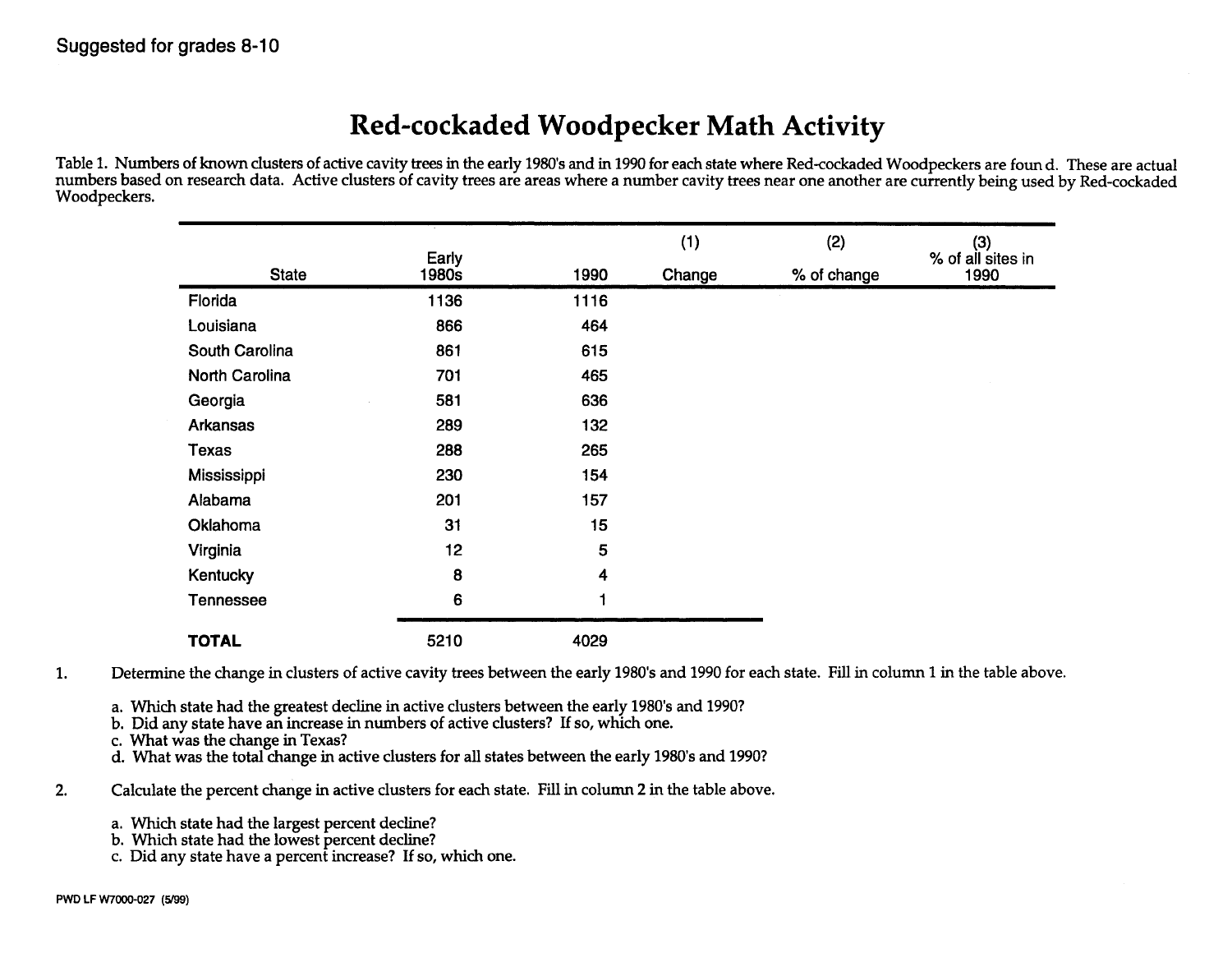## Red-cockaded Woodpecker Math Activity

Table 1. Numbers of known clusters of active cavity trees in the early 1980's and in 1990 for each state where Red-cockaded Woodpeckers are foun d. These are actual numbers based on research data. Active clusters of cavity trees are areas where a number cavity trees near one another are currently being used by Red-cockaded Woodpeckers.

|                 |                |      | (1)    | (2)         | (3)                       |  |
|-----------------|----------------|------|--------|-------------|---------------------------|--|
| <b>State</b>    | Early<br>1980s | 1990 | Change | % of change | % of all sites in<br>1990 |  |
| Florida         | 1136           | 1116 |        |             |                           |  |
| Louisiana       | 866            | 464  |        |             |                           |  |
| South Carolina  | 861            | 615  |        |             |                           |  |
| North Carolina  | 701            | 465  |        |             |                           |  |
| Georgia         | 581            | 636  |        |             |                           |  |
| <b>Arkansas</b> | 289            | 132  |        |             |                           |  |
| Texas           | 288            | 265  |        |             |                           |  |
| Mississippi     | 230            | 154  |        |             |                           |  |
| Alabama         | 201            | 157  |        |             |                           |  |
| Oklahoma        | 31             | 15   |        |             |                           |  |
| Virginia        | 12             | 5    |        |             |                           |  |
| Kentucky        | 8              | 4    |        |             |                           |  |
| Tennessee       | 6              | 1    |        |             |                           |  |
| <b>TOTAL</b>    | 5210           | 4029 |        |             |                           |  |

Determine the change in clusters of active cavity trees between the early 1980's and 1990 for each state. Fill in column 1 in the table above. 1.

a. Which state had the greatest decline in active clusters between the early 1980's and 1990?

b. Did any state have an increase in numbers of active clusters? If so, which one.

c. What was the change in Texas?

d. What was the total change in active clusters for all states between the early 1980's and 1990?

 $2.$ Calculate the percent change in active clusters for each state. Fill in column 2 in the table above.

- a. Which state had the largest percent decline?
- b. Which state had the lowest percent decline?
- c. Did any state have a percent increase? If so, which one.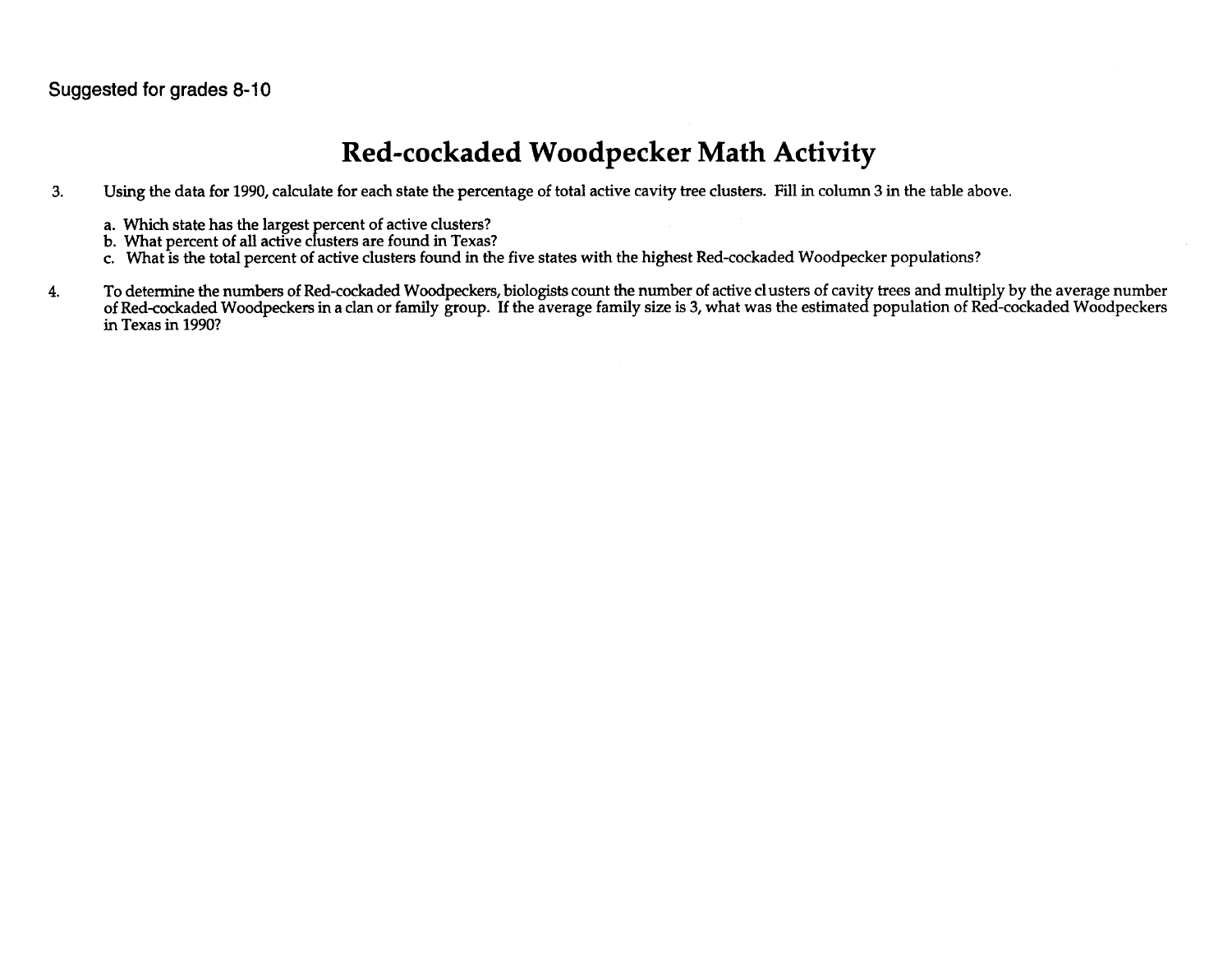#### Suggested for grades 8-10

## Red-cockaded Woodpecker Math Activity

- Using the data for 1990, calculate for each state the percentage of total active cavity tree clusters. Fill in column 3 in the table above.  $3.$ 
	- a. Which state has the largest percent of active clusters?
	- b. What percent of all active clusters are found in Texas?
	- c. What is the total percent of active clusters found in the five states with the highest Red-cockaded Woodpecker populations?
- To determine the numbers of Red-cockaded Woodpeckers, biologists count the number of active clusters of cavity trees and multiply by the average number 4. of Red-cockaded Woodpeckers in a clan or family group. If the average family size is 3, what was the estimated population of Red-cockaded Woodpeckers in Texas in 1990?